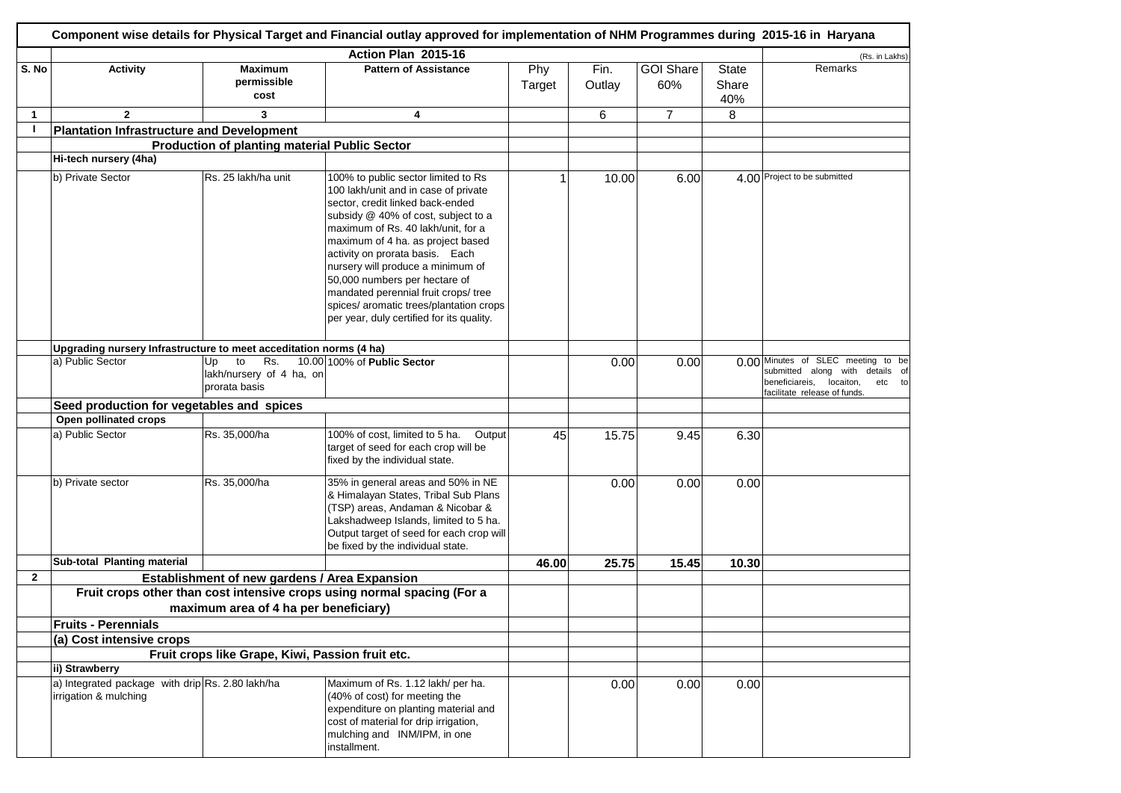|                |                                                                           |                                                              | Action Plan 2015-16                                                                                                                                                                                                                                                                                                                                                                                                                                                        |               |                |                         |                       | (Rs. in Lakhs)                                                                                                                            |
|----------------|---------------------------------------------------------------------------|--------------------------------------------------------------|----------------------------------------------------------------------------------------------------------------------------------------------------------------------------------------------------------------------------------------------------------------------------------------------------------------------------------------------------------------------------------------------------------------------------------------------------------------------------|---------------|----------------|-------------------------|-----------------------|-------------------------------------------------------------------------------------------------------------------------------------------|
| S. No          | <b>Activity</b>                                                           | <b>Maximum</b><br>permissible<br>cost                        | <b>Pattern of Assistance</b>                                                                                                                                                                                                                                                                                                                                                                                                                                               | Phy<br>Target | Fin.<br>Outlay | <b>GOI Share</b><br>60% | State<br>Share<br>40% | Remarks                                                                                                                                   |
| $\mathbf{1}$   | $\mathbf{2}$                                                              | 3                                                            | 4                                                                                                                                                                                                                                                                                                                                                                                                                                                                          |               | 6              | $\overline{7}$          | 8                     |                                                                                                                                           |
| П              | <b>Plantation Infrastructure and Development</b>                          |                                                              |                                                                                                                                                                                                                                                                                                                                                                                                                                                                            |               |                |                         |                       |                                                                                                                                           |
|                |                                                                           | <b>Production of planting material Public Sector</b>         |                                                                                                                                                                                                                                                                                                                                                                                                                                                                            |               |                |                         |                       |                                                                                                                                           |
|                | Hi-tech nursery (4ha)                                                     |                                                              |                                                                                                                                                                                                                                                                                                                                                                                                                                                                            |               |                |                         |                       |                                                                                                                                           |
|                | b) Private Sector                                                         | Rs. 25 lakh/ha unit                                          | 100% to public sector limited to Rs<br>100 lakh/unit and in case of private<br>sector, credit linked back-ended<br>subsidy @ 40% of cost, subject to a<br>maximum of Rs. 40 lakh/unit, for a<br>maximum of 4 ha. as project based<br>activity on prorata basis. Each<br>nursery will produce a minimum of<br>50,000 numbers per hectare of<br>mandated perennial fruit crops/ tree<br>spices/ aromatic trees/plantation crops<br>per year, duly certified for its quality. |               | 10.00          | 6.00                    |                       | 4.00 Project to be submitted                                                                                                              |
|                | Upgrading nursery Infrastructure to meet acceditation norms (4 ha)        |                                                              |                                                                                                                                                                                                                                                                                                                                                                                                                                                                            |               |                |                         |                       |                                                                                                                                           |
|                | a) Public Sector                                                          | Rs.<br>to<br>Up<br>lakh/nursery of 4 ha, on<br>prorata basis | 10.00 100% of Public Sector                                                                                                                                                                                                                                                                                                                                                                                                                                                |               | 0.00           | 0.00                    | 0.00                  | Minutes of SLEC meeting to be<br>submitted along with details of<br>beneficiareis,<br>locaiton,<br>etc to<br>facilitate release of funds. |
|                | Seed production for vegetables and spices                                 |                                                              |                                                                                                                                                                                                                                                                                                                                                                                                                                                                            |               |                |                         |                       |                                                                                                                                           |
|                | Open pollinated crops                                                     |                                                              |                                                                                                                                                                                                                                                                                                                                                                                                                                                                            |               |                |                         |                       |                                                                                                                                           |
|                | a) Public Sector                                                          | Rs. 35,000/ha                                                | 100% of cost, limited to 5 ha.<br>Output<br>target of seed for each crop will be<br>fixed by the individual state.                                                                                                                                                                                                                                                                                                                                                         | 45            | 15.75          | 9.45                    | 6.30                  |                                                                                                                                           |
|                | b) Private sector                                                         | Rs. 35,000/ha                                                | 35% in general areas and 50% in NE<br>& Himalayan States, Tribal Sub Plans<br>(TSP) areas, Andaman & Nicobar &<br>Lakshadweep Islands, limited to 5 ha.<br>Output target of seed for each crop will<br>be fixed by the individual state.                                                                                                                                                                                                                                   |               | 0.00           | 0.00                    | 0.00                  |                                                                                                                                           |
|                | Sub-total Planting material                                               |                                                              |                                                                                                                                                                                                                                                                                                                                                                                                                                                                            | 46.00         | 25.75          | 15.45                   | 10.30                 |                                                                                                                                           |
| $\overline{2}$ |                                                                           | Establishment of new gardens / Area Expansion                |                                                                                                                                                                                                                                                                                                                                                                                                                                                                            |               |                |                         |                       |                                                                                                                                           |
|                |                                                                           |                                                              | Fruit crops other than cost intensive crops using normal spacing (For a                                                                                                                                                                                                                                                                                                                                                                                                    |               |                |                         |                       |                                                                                                                                           |
|                |                                                                           | maximum area of 4 ha per beneficiary)                        |                                                                                                                                                                                                                                                                                                                                                                                                                                                                            |               |                |                         |                       |                                                                                                                                           |
|                | <b>Fruits - Perennials</b>                                                |                                                              |                                                                                                                                                                                                                                                                                                                                                                                                                                                                            |               |                |                         |                       |                                                                                                                                           |
|                | (a) Cost intensive crops                                                  |                                                              |                                                                                                                                                                                                                                                                                                                                                                                                                                                                            |               |                |                         |                       |                                                                                                                                           |
|                |                                                                           | Fruit crops like Grape, Kiwi, Passion fruit etc.             |                                                                                                                                                                                                                                                                                                                                                                                                                                                                            |               |                |                         |                       |                                                                                                                                           |
|                | ii) Strawberry                                                            |                                                              |                                                                                                                                                                                                                                                                                                                                                                                                                                                                            |               |                |                         |                       |                                                                                                                                           |
|                | a) Integrated package with drip Rs. 2.80 lakh/ha<br>irrigation & mulching |                                                              | Maximum of Rs. 1.12 lakh/ per ha.<br>(40% of cost) for meeting the<br>expenditure on planting material and<br>cost of material for drip irrigation,<br>mulching and INM/IPM, in one<br>installment.                                                                                                                                                                                                                                                                        |               | 0.00           | 0.00                    | 0.00                  |                                                                                                                                           |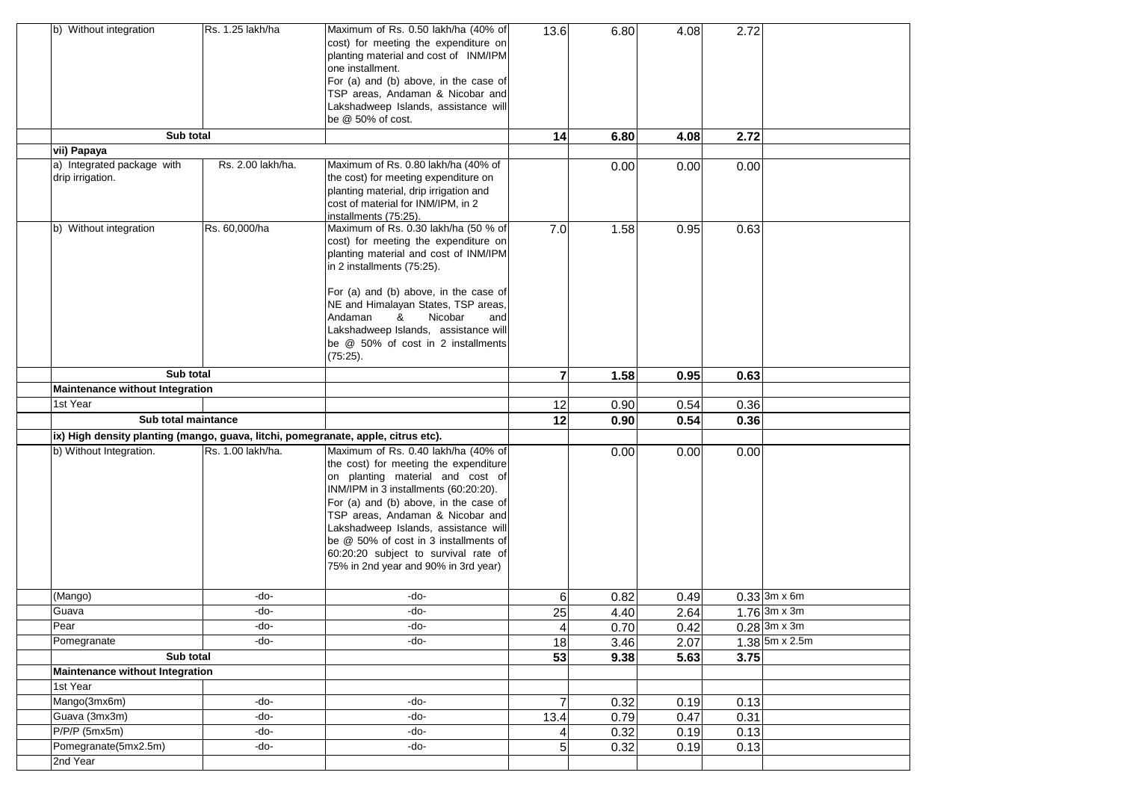| b) Without integration                                                            | Rs. 1.25 lakh/ha  | Maximum of Rs. 0.50 lakh/ha (40% of<br>cost) for meeting the expenditure on<br>planting material and cost of INM/IPM<br>one installment.<br>For (a) and (b) above, in the case of<br>TSP areas, Andaman & Nicobar and<br>Lakshadweep Islands, assistance will<br>be @ 50% of cost.                                                                               | 13.6                    | 6.80 | 4.08 | 2.72 |                  |
|-----------------------------------------------------------------------------------|-------------------|------------------------------------------------------------------------------------------------------------------------------------------------------------------------------------------------------------------------------------------------------------------------------------------------------------------------------------------------------------------|-------------------------|------|------|------|------------------|
| Sub total                                                                         |                   |                                                                                                                                                                                                                                                                                                                                                                  | 14                      | 6.80 | 4.08 | 2.72 |                  |
| vii) Papaya                                                                       |                   |                                                                                                                                                                                                                                                                                                                                                                  |                         |      |      |      |                  |
| a) Integrated package with<br>drip irrigation.                                    | Rs. 2.00 lakh/ha. | Maximum of Rs. 0.80 lakh/ha (40% of<br>the cost) for meeting expenditure on<br>planting material, drip irrigation and<br>cost of material for INM/IPM, in 2<br>installments (75:25).                                                                                                                                                                             |                         | 0.00 | 0.00 | 0.00 |                  |
| b) Without integration                                                            | Rs. 60,000/ha     | Maximum of Rs. 0.30 lakh/ha (50 % of<br>cost) for meeting the expenditure on<br>planting material and cost of INM/IPM<br>in 2 installments (75:25).<br>For (a) and (b) above, in the case of<br>NE and Himalayan States, TSP areas,<br>Nicobar<br>Andaman<br>&<br>and<br>Lakshadweep Islands, assistance will<br>be @ 50% of cost in 2 installments<br>(75:25).  | 7.0                     | 1.58 | 0.95 | 0.63 |                  |
| Sub total                                                                         |                   |                                                                                                                                                                                                                                                                                                                                                                  | $\overline{\mathbf{r}}$ | 1.58 | 0.95 | 0.63 |                  |
| Maintenance without Integration                                                   |                   |                                                                                                                                                                                                                                                                                                                                                                  |                         |      |      |      |                  |
| 1st Year                                                                          |                   |                                                                                                                                                                                                                                                                                                                                                                  | 12                      | 0.90 | 0.54 | 0.36 |                  |
| Sub total maintance                                                               |                   |                                                                                                                                                                                                                                                                                                                                                                  | 12                      | 0.90 | 0.54 | 0.36 |                  |
| ix) High density planting (mango, guava, litchi, pomegranate, apple, citrus etc). |                   |                                                                                                                                                                                                                                                                                                                                                                  |                         |      |      |      |                  |
| b) Without Integration.                                                           | Rs. 1.00 lakh/ha. | Maximum of Rs. 0.40 lakh/ha (40% of                                                                                                                                                                                                                                                                                                                              |                         | 0.00 | 0.00 | 0.00 |                  |
|                                                                                   |                   | the cost) for meeting the expenditure<br>on planting material and cost of<br>INM/IPM in 3 installments (60:20:20).<br>For (a) and (b) above, in the case of<br>TSP areas, Andaman & Nicobar and<br>Lakshadweep Islands, assistance will<br>be @ 50% of cost in 3 installments of<br>60:20:20 subject to survival rate of<br>75% in 2nd year and 90% in 3rd year) |                         |      |      |      |                  |
| (Mango)                                                                           | -do-              | -do-                                                                                                                                                                                                                                                                                                                                                             | 6                       | 0.82 | 0.49 |      | $0.33$ 3m x 6m   |
| Guava                                                                             | -do-              | -do-                                                                                                                                                                                                                                                                                                                                                             | 25                      | 4.40 | 2.64 |      | $1.76$ 3m x 3m   |
| Pear                                                                              | -do-              | -do-                                                                                                                                                                                                                                                                                                                                                             | $\overline{a}$          | 0.70 | 0.42 |      | $0.28$ 3m x 3m   |
| Pomegranate                                                                       | -do-              | -do-                                                                                                                                                                                                                                                                                                                                                             | $\frac{1}{8}$           | 3.46 | 2.07 |      | $1.38$ 5m x 2.5m |
| Sub total                                                                         |                   |                                                                                                                                                                                                                                                                                                                                                                  | 53                      | 9.38 | 5.63 | 3.75 |                  |
| Maintenance without Integration                                                   |                   |                                                                                                                                                                                                                                                                                                                                                                  |                         |      |      |      |                  |
| 1st Year                                                                          |                   |                                                                                                                                                                                                                                                                                                                                                                  |                         |      |      |      |                  |
| Mango(3mx6m)                                                                      | -do-              | -do-                                                                                                                                                                                                                                                                                                                                                             | 7                       | 0.32 | 0.19 | 0.13 |                  |
| Guava (3mx3m)                                                                     | -do-              | -do-                                                                                                                                                                                                                                                                                                                                                             | 13.4                    | 0.79 | 0.47 | 0.31 |                  |
| $P/P/P$ (5mx5m)                                                                   | -do-              | -do-                                                                                                                                                                                                                                                                                                                                                             |                         | 0.32 | 0.19 | 0.13 |                  |
| Pomegranate(5mx2.5m)                                                              | -do-              | -do-                                                                                                                                                                                                                                                                                                                                                             | 5                       | 0.32 | 0.19 | 0.13 |                  |
| 2nd Year                                                                          |                   |                                                                                                                                                                                                                                                                                                                                                                  |                         |      |      |      |                  |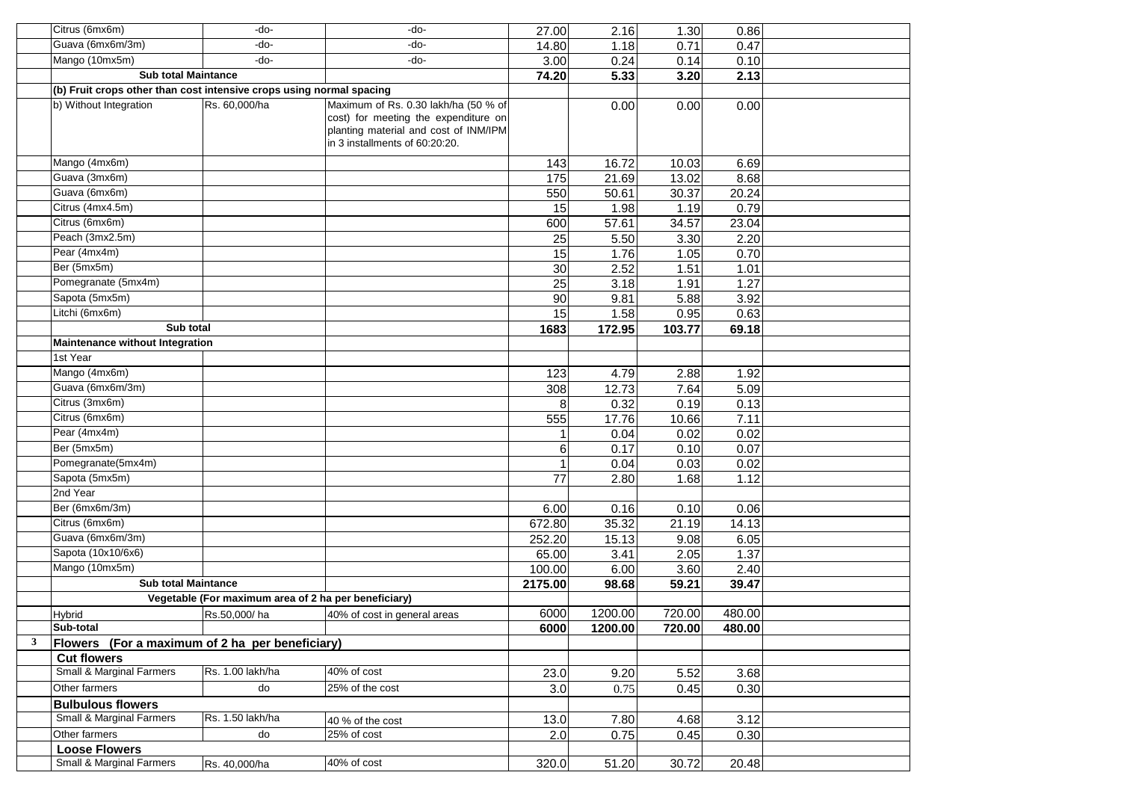|   | Citrus (6mx6m)                                                       | -do-                                                 | -do-                                                                                                                                                    | 27.00   | 2.16    | 1.30   | 0.86   |  |
|---|----------------------------------------------------------------------|------------------------------------------------------|---------------------------------------------------------------------------------------------------------------------------------------------------------|---------|---------|--------|--------|--|
|   | Guava (6mx6m/3m)                                                     | -do-                                                 | -do-                                                                                                                                                    | 14.80   | 1.18    | 0.71   | 0.47   |  |
|   | Mango (10mx5m)                                                       | -do-                                                 | -do-                                                                                                                                                    | 3.00    | 0.24    | 0.14   | 0.10   |  |
|   | <b>Sub total Maintance</b>                                           |                                                      |                                                                                                                                                         | 74.20   | 5.33    | 3.20   | 2.13   |  |
|   | (b) Fruit crops other than cost intensive crops using normal spacing |                                                      |                                                                                                                                                         |         |         |        |        |  |
|   | b) Without Integration                                               | Rs. 60,000/ha                                        | Maximum of Rs. 0.30 lakh/ha (50 % of<br>cost) for meeting the expenditure on<br>planting material and cost of INM/IPM<br>in 3 installments of 60:20:20. |         | 0.00    | 0.00   | 0.00   |  |
|   | Mango (4mx6m)                                                        |                                                      |                                                                                                                                                         | 143     | 16.72   | 10.03  | 6.69   |  |
|   | Guava (3mx6m)                                                        |                                                      |                                                                                                                                                         | 175     | 21.69   | 13.02  | 8.68   |  |
|   | Guava (6mx6m)                                                        |                                                      |                                                                                                                                                         | 550     | 50.61   | 30.37  | 20.24  |  |
|   | Citrus (4mx4.5m)                                                     |                                                      |                                                                                                                                                         | 15      | 1.98    | 1.19   | 0.79   |  |
|   | Citrus (6mx6m)                                                       |                                                      |                                                                                                                                                         | 600     | 57.61   | 34.57  | 23.04  |  |
|   | Peach (3mx2.5m)                                                      |                                                      |                                                                                                                                                         | 25      | 5.50    | 3.30   | 2.20   |  |
|   | Pear (4mx4m)                                                         |                                                      |                                                                                                                                                         | 15      | 1.76    | 1.05   | 0.70   |  |
|   | Ber (5mx5m)                                                          |                                                      |                                                                                                                                                         | 30      | 2.52    | 1.51   | 1.01   |  |
|   | Pomegranate (5mx4m)                                                  |                                                      |                                                                                                                                                         | 25      | 3.18    | 1.91   | 1.27   |  |
|   | Sapota (5mx5m)                                                       |                                                      |                                                                                                                                                         | 90      | 9.81    | 5.88   | 3.92   |  |
|   | Litchi (6mx6m)                                                       |                                                      |                                                                                                                                                         | 15      | 1.58    | 0.95   | 0.63   |  |
|   | Sub total                                                            |                                                      |                                                                                                                                                         | 1683    | 172.95  | 103.77 | 69.18  |  |
|   | Maintenance without Integration                                      |                                                      |                                                                                                                                                         |         |         |        |        |  |
|   | 1st Year                                                             |                                                      |                                                                                                                                                         |         |         |        |        |  |
|   | Mango (4mx6m)                                                        |                                                      |                                                                                                                                                         | 123     | 4.79    | 2.88   | 1.92   |  |
|   | Guava (6mx6m/3m)                                                     |                                                      |                                                                                                                                                         | 308     | 12.73   | 7.64   | 5.09   |  |
|   | Citrus (3mx6m)                                                       |                                                      |                                                                                                                                                         | 8       | 0.32    | 0.19   | 0.13   |  |
|   | Citrus (6mx6m)                                                       |                                                      |                                                                                                                                                         | 555     | 17.76   | 10.66  | 7.11   |  |
|   | Pear (4mx4m)                                                         |                                                      |                                                                                                                                                         |         | 0.04    | 0.02   | 0.02   |  |
|   | Ber (5mx5m)                                                          |                                                      |                                                                                                                                                         | 6       | 0.17    | 0.10   | 0.07   |  |
|   | Pomegranate(5mx4m)                                                   |                                                      |                                                                                                                                                         |         | 0.04    | 0.03   | 0.02   |  |
|   | Sapota (5mx5m)                                                       |                                                      |                                                                                                                                                         | 77      | 2.80    | 1.68   | 1.12   |  |
|   | 2nd Year                                                             |                                                      |                                                                                                                                                         |         |         |        |        |  |
|   | Ber (6mx6m/3m)                                                       |                                                      |                                                                                                                                                         | 6.00    | 0.16    | 0.10   | 0.06   |  |
|   | Citrus (6mx6m)                                                       |                                                      |                                                                                                                                                         | 672.80  | 35.32   | 21.19  | 14.13  |  |
|   | Guava (6mx6m/3m)                                                     |                                                      |                                                                                                                                                         | 252.20  | 15.13   | 9.08   | 6.05   |  |
|   | Sapota (10x10/6x6)                                                   |                                                      |                                                                                                                                                         | 65.00   | 3.41    | 2.05   | 1.37   |  |
|   | Mango (10mx5m)                                                       |                                                      |                                                                                                                                                         | 100.00  | 6.00    | 3.60   | 2.40   |  |
|   | <b>Sub total Maintance</b>                                           |                                                      |                                                                                                                                                         | 2175.00 | 98.68   | 59.21  | 39.47  |  |
|   |                                                                      | Vegetable (For maximum area of 2 ha per beneficiary) |                                                                                                                                                         |         |         |        |        |  |
|   | <b>Hybrid</b>                                                        | Rs.50,000/ha                                         | 40% of cost in general areas                                                                                                                            | 6000    | 1200.00 | 720.00 | 480.00 |  |
|   | Sub-total                                                            |                                                      |                                                                                                                                                         | 6000    | 1200.00 | 720.00 | 480.00 |  |
| 3 | Flowers (For a maximum of 2 ha per beneficiary)                      |                                                      |                                                                                                                                                         |         |         |        |        |  |
|   | <b>Cut flowers</b>                                                   |                                                      |                                                                                                                                                         |         |         |        |        |  |
|   | Small & Marginal Farmers                                             | Rs. 1.00 lakh/ha                                     | 40% of cost                                                                                                                                             | 23.0    | 9.20    | 5.52   | 3.68   |  |
|   | Other farmers                                                        | do                                                   | 25% of the cost                                                                                                                                         | 3.0     | 0.75    | 0.45   | 0.30   |  |
|   | <b>Bulbulous flowers</b>                                             |                                                      |                                                                                                                                                         |         |         |        |        |  |
|   | Small & Marginal Farmers                                             | Rs. 1.50 lakh/ha                                     | 40 % of the cost                                                                                                                                        | 13.0    | 7.80    | 4.68   | 3.12   |  |
|   | Other farmers                                                        | do                                                   | 25% of cost                                                                                                                                             | 2.0     | 0.75    | 0.45   | 0.30   |  |
|   | <b>Loose Flowers</b>                                                 |                                                      |                                                                                                                                                         |         |         |        |        |  |
|   | Small & Marginal Farmers                                             | Rs. 40,000/ha                                        | 40% of cost                                                                                                                                             | 320.0   | 51.20   | 30.72  | 20.48  |  |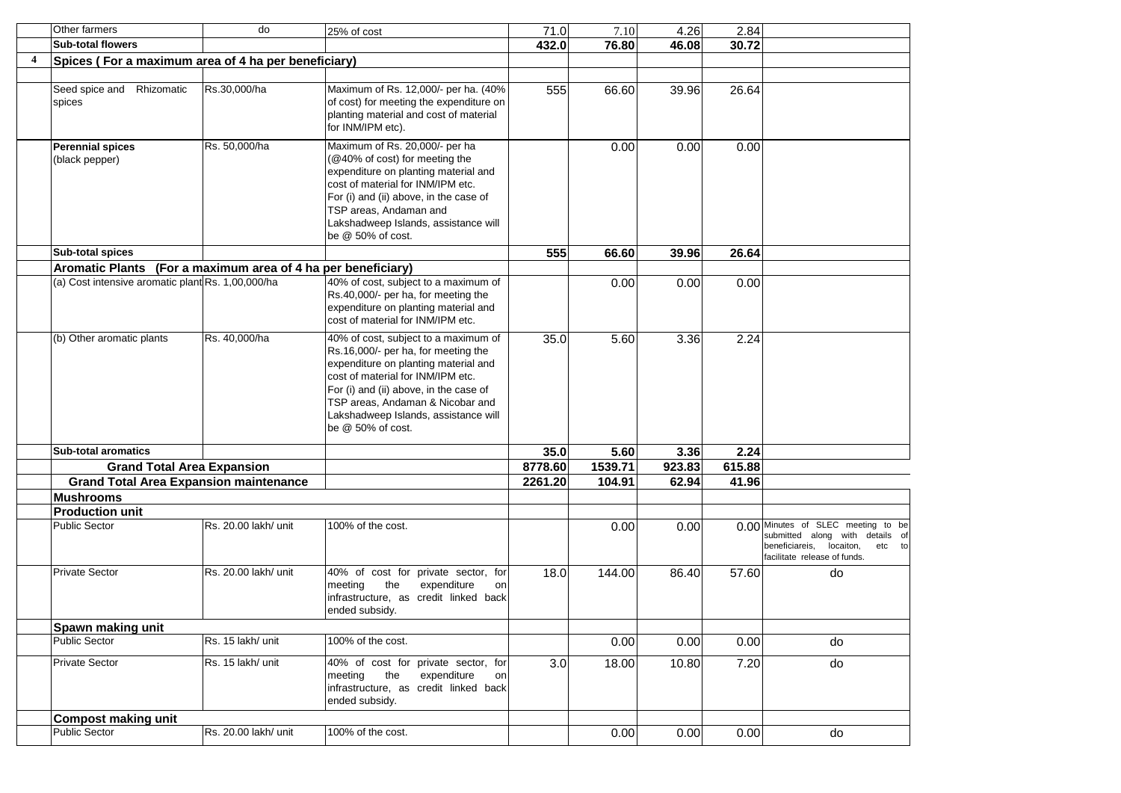|                         | Other farmers                                                | do                   | 25% of cost                                                                                                                                                                                                                                                                                         | 71.0    | 7.10    | 4.26   | 2.84   |                                                                                                                                                |
|-------------------------|--------------------------------------------------------------|----------------------|-----------------------------------------------------------------------------------------------------------------------------------------------------------------------------------------------------------------------------------------------------------------------------------------------------|---------|---------|--------|--------|------------------------------------------------------------------------------------------------------------------------------------------------|
|                         | <b>Sub-total flowers</b>                                     |                      |                                                                                                                                                                                                                                                                                                     | 432.0   | 76.80   | 46.08  | 30.72  |                                                                                                                                                |
| $\overline{\mathbf{4}}$ | Spices (For a maximum area of 4 ha per beneficiary)          |                      |                                                                                                                                                                                                                                                                                                     |         |         |        |        |                                                                                                                                                |
|                         |                                                              |                      |                                                                                                                                                                                                                                                                                                     |         |         |        |        |                                                                                                                                                |
|                         | Seed spice and Rhizomatic<br>spices                          | Rs.30,000/ha         | Maximum of Rs. 12,000/- per ha. (40%<br>of cost) for meeting the expenditure on<br>planting material and cost of material<br>for INM/IPM etc).                                                                                                                                                      | 555     | 66.60   | 39.96  | 26.64  |                                                                                                                                                |
|                         | <b>Perennial spices</b><br>(black pepper)                    | Rs. 50,000/ha        | Maximum of Rs. 20,000/- per ha<br>(@40% of cost) for meeting the<br>expenditure on planting material and<br>cost of material for INM/IPM etc.<br>For (i) and (ii) above, in the case of<br>TSP areas. Andaman and<br>Lakshadweep Islands, assistance will<br>be @ 50% of cost.                      |         | 0.00    | 0.00   | 0.00   |                                                                                                                                                |
|                         | <b>Sub-total spices</b>                                      |                      |                                                                                                                                                                                                                                                                                                     | 555     | 66.60   | 39.96  | 26.64  |                                                                                                                                                |
|                         | Aromatic Plants (For a maximum area of 4 ha per beneficiary) |                      |                                                                                                                                                                                                                                                                                                     |         |         |        |        |                                                                                                                                                |
|                         | (a) Cost intensive aromatic plant Rs. 1,00,000/ha            |                      | 40% of cost, subject to a maximum of<br>Rs.40,000/- per ha, for meeting the<br>expenditure on planting material and<br>cost of material for INM/IPM etc.                                                                                                                                            |         | 0.00    | 0.00   | 0.00   |                                                                                                                                                |
|                         | (b) Other aromatic plants                                    | Rs. 40.000/ha        | 40% of cost, subject to a maximum of<br>Rs.16,000/- per ha, for meeting the<br>expenditure on planting material and<br>cost of material for INM/IPM etc.<br>For (i) and (ii) above, in the case of<br>TSP areas. Andaman & Nicobar and<br>Lakshadweep Islands, assistance will<br>be @ 50% of cost. | 35.0    | 5.60    | 3.36   | 2.24   |                                                                                                                                                |
|                         | <b>Sub-total aromatics</b>                                   |                      |                                                                                                                                                                                                                                                                                                     | 35.0    | 5.60    | 3.36   | 2.24   |                                                                                                                                                |
|                         | <b>Grand Total Area Expansion</b>                            |                      |                                                                                                                                                                                                                                                                                                     | 8778.60 | 1539.71 | 923.83 | 615.88 |                                                                                                                                                |
|                         | <b>Grand Total Area Expansion maintenance</b>                |                      |                                                                                                                                                                                                                                                                                                     | 2261.20 | 104.91  | 62.94  | 41.96  |                                                                                                                                                |
|                         | <b>Mushrooms</b>                                             |                      |                                                                                                                                                                                                                                                                                                     |         |         |        |        |                                                                                                                                                |
|                         | <b>Production unit</b>                                       |                      |                                                                                                                                                                                                                                                                                                     |         |         |        |        |                                                                                                                                                |
|                         | <b>Public Sector</b>                                         | Rs. 20.00 lakh/ unit | 100% of the cost.                                                                                                                                                                                                                                                                                   |         | 0.00    | 0.00   |        | 0.00 Minutes of SLEC meeting to be<br>submitted along with details of<br>beneficiareis,<br>locaiton,<br>etc to<br>facilitate release of funds. |
|                         | <b>Private Sector</b>                                        | Rs. 20.00 lakh/ unit | 40% of cost for private sector, for<br>the<br>meeting<br>expenditure<br>on<br>infrastructure, as credit linked back<br>ended subsidy.                                                                                                                                                               | 18.0    | 144.00  | 86.40  | 57.60  | do                                                                                                                                             |
|                         | Spawn making unit                                            |                      |                                                                                                                                                                                                                                                                                                     |         |         |        |        |                                                                                                                                                |
|                         | <b>Public Sector</b>                                         | Rs. 15 lakh/ unit    | 100% of the cost.                                                                                                                                                                                                                                                                                   |         | 0.00    | 0.00   | 0.00   | do                                                                                                                                             |
|                         | Private Sector                                               | Rs. 15 lakh/ unit    | 40% of cost for private sector, for<br>meeting<br>the<br>expenditure<br>on<br>infrastructure, as credit linked back<br>ended subsidy.                                                                                                                                                               | 3.0     | 18.00   | 10.80  | 7.20   | do                                                                                                                                             |
|                         | <b>Compost making unit</b>                                   |                      |                                                                                                                                                                                                                                                                                                     |         |         |        |        |                                                                                                                                                |
|                         | <b>Public Sector</b>                                         | Rs. 20.00 lakh/ unit | 100% of the cost.                                                                                                                                                                                                                                                                                   |         | 0.00    | 0.00   | 0.00   | do                                                                                                                                             |
|                         |                                                              |                      |                                                                                                                                                                                                                                                                                                     |         |         |        |        |                                                                                                                                                |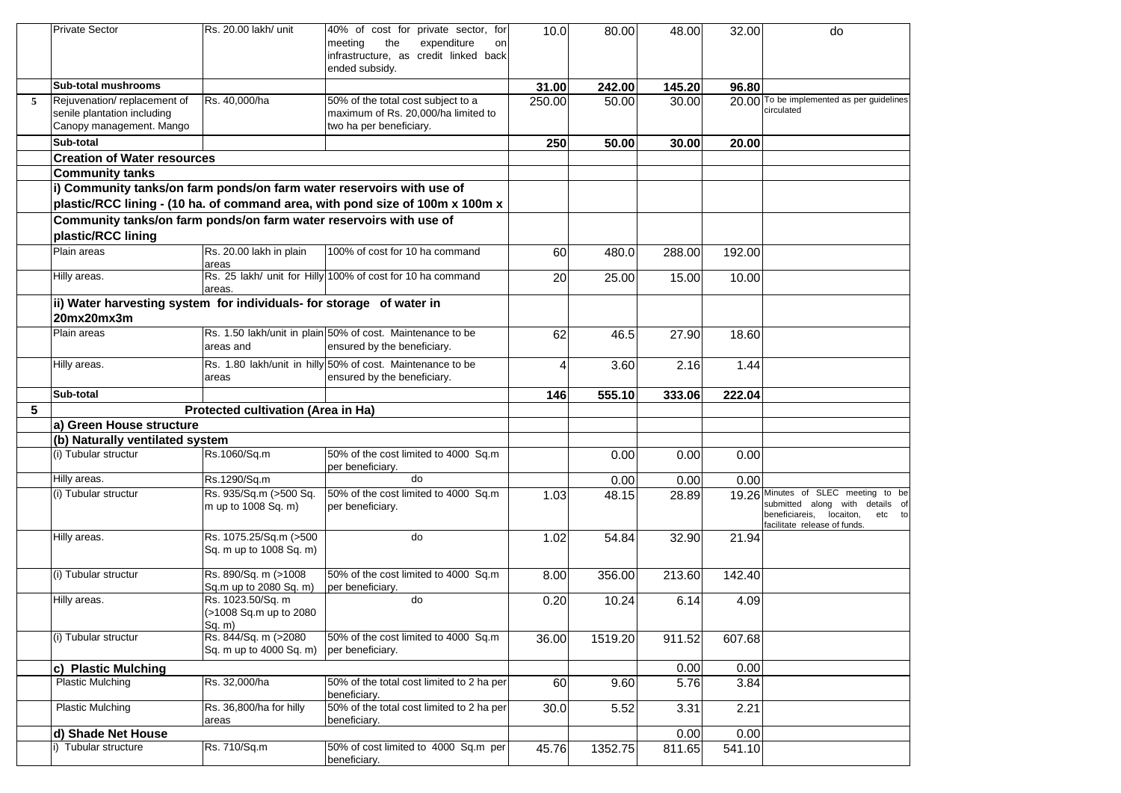|   | <b>Private Sector</b>                                                                    | Rs. 20.00 lakh/ unit                                  | 40% of cost for private sector, for<br>the<br>expenditure<br>meeting<br>on<br>infrastructure, as credit linked back<br>ended subsidy. | 10.0   | 80.00   | 48.00  | 32.00  | do                                                                                                                                           |
|---|------------------------------------------------------------------------------------------|-------------------------------------------------------|---------------------------------------------------------------------------------------------------------------------------------------|--------|---------|--------|--------|----------------------------------------------------------------------------------------------------------------------------------------------|
|   | <b>Sub-total mushrooms</b>                                                               |                                                       |                                                                                                                                       | 31.00  | 242.00  | 145.20 | 96.80  |                                                                                                                                              |
| 5 | Rejuvenation/replacement of<br>senile plantation including<br>Canopy management. Mango   | Rs. 40,000/ha                                         | 50% of the total cost subject to a<br>maximum of Rs. 20,000/ha limited to<br>two ha per beneficiary.                                  | 250.00 | 50.00   | 30.00  |        | 20.00 To be implemented as per guidelines<br>circulated                                                                                      |
|   | Sub-total                                                                                |                                                       |                                                                                                                                       | 250    | 50.00   | 30.00  | 20.00  |                                                                                                                                              |
|   | <b>Creation of Water resources</b>                                                       |                                                       |                                                                                                                                       |        |         |        |        |                                                                                                                                              |
|   | <b>Community tanks</b>                                                                   |                                                       |                                                                                                                                       |        |         |        |        |                                                                                                                                              |
|   | i) Community tanks/on farm ponds/on farm water reservoirs with use of                    |                                                       | plastic/RCC lining - (10 ha. of command area, with pond size of 100m x 100m x                                                         |        |         |        |        |                                                                                                                                              |
|   | Community tanks/on farm ponds/on farm water reservoirs with use of<br>plastic/RCC lining |                                                       |                                                                                                                                       |        |         |        |        |                                                                                                                                              |
|   | Plain areas                                                                              | Rs. 20.00 lakh in plain<br>areas                      | 100% of cost for 10 ha command                                                                                                        | 60     | 480.0   | 288.00 | 192.00 |                                                                                                                                              |
|   | Hilly areas.                                                                             | areas.                                                | Rs. 25 lakh/ unit for Hilly 100% of cost for 10 ha command                                                                            | 20     | 25.00   | 15.00  | 10.00  |                                                                                                                                              |
|   | ii) Water harvesting system for individuals- for storage of water in<br>20mx20mx3m       |                                                       |                                                                                                                                       |        |         |        |        |                                                                                                                                              |
|   | Plain areas                                                                              | areas and                                             | Rs. 1.50 lakh/unit in plain 50% of cost. Maintenance to be<br>ensured by the beneficiary.                                             | 62     | 46.5    | 27.90  | 18.60  |                                                                                                                                              |
|   | Hilly areas.                                                                             | areas                                                 | Rs. 1.80 lakh/unit in hilly 50% of cost. Maintenance to be<br>ensured by the beneficiary.                                             | Δ      | 3.60    | 2.16   | 1.44   |                                                                                                                                              |
|   | Sub-total                                                                                |                                                       |                                                                                                                                       | 146    | 555.10  | 333.06 | 222.04 |                                                                                                                                              |
| 5 |                                                                                          | Protected cultivation (Area in Ha)                    |                                                                                                                                       |        |         |        |        |                                                                                                                                              |
|   | a) Green House structure                                                                 |                                                       |                                                                                                                                       |        |         |        |        |                                                                                                                                              |
|   | (b) Naturally ventilated system                                                          |                                                       |                                                                                                                                       |        |         |        |        |                                                                                                                                              |
|   | (i) Tubular structur                                                                     | Rs.1060/Sq.m                                          | 50% of the cost limited to 4000 Sq.m<br>per beneficiary.                                                                              |        | 0.00    | 0.00   | 0.00   |                                                                                                                                              |
|   | Hilly areas.                                                                             | Rs.1290/Sq.m                                          | do                                                                                                                                    |        | 0.00    | 0.00   | 0.00   |                                                                                                                                              |
|   | (i) Tubular structur                                                                     | Rs. 935/Sq.m (>500 Sq.<br>m up to 1008 Sq. m)         | 50% of the cost limited to 4000 Sq.m<br>per beneficiary.                                                                              | 1.03   | 48.15   | 28.89  |        | 19.26 Minutes of SLEC meeting to be<br>submitted along with details of<br>beneficiareis, locaiton,<br>etc to<br>facilitate release of funds. |
|   | Hilly areas.                                                                             | Rs. 1075.25/Sq.m (>500<br>Sq. m up to 1008 Sq. m)     | do                                                                                                                                    | 1.02   | 54.84   | 32.90  | 21.94  |                                                                                                                                              |
|   | (i) Tubular structur                                                                     | Rs. 890/Sq. m (>1008<br>Sq.m up to 2080 Sq. m)        | 50% of the cost limited to 4000 Sq.m<br>per beneficiary.                                                                              | 8.00   | 356.00  | 213.60 | 142.40 |                                                                                                                                              |
|   | Hilly areas.                                                                             | Rs. 1023.50/Sq. m<br>(>1008 Sq.m up to 2080<br>Sq. m) | do                                                                                                                                    | 0.20   | 10.24   | 6.14   | 4.09   |                                                                                                                                              |
|   | (i) Tubular structur                                                                     | Rs. 844/Sq. m (>2080)<br>Sq. m up to 4000 Sq. m)      | 50% of the cost limited to 4000 Sq.m<br>per beneficiary.                                                                              | 36.00  | 1519.20 | 911.52 | 607.68 |                                                                                                                                              |
|   | c) Plastic Mulching                                                                      |                                                       |                                                                                                                                       |        |         | 0.00   | 0.00   |                                                                                                                                              |
|   | <b>Plastic Mulching</b>                                                                  | Rs. 32,000/ha                                         | 50% of the total cost limited to 2 ha per<br>beneficiary.                                                                             | 60     | 9.60    | 5.76   | 3.84   |                                                                                                                                              |
|   | <b>Plastic Mulching</b>                                                                  | Rs. 36,800/ha for hilly<br>areas                      | 50% of the total cost limited to 2 ha per<br>beneficiary.                                                                             | 30.0   | 5.52    | 3.31   | 2.21   |                                                                                                                                              |
|   | d) Shade Net House                                                                       |                                                       |                                                                                                                                       |        |         | 0.00   | 0.00   |                                                                                                                                              |
|   | i) Tubular structure                                                                     | Rs. 710/Sq.m                                          | 50% of cost limited to 4000 Sq.m per<br>beneficiary.                                                                                  | 45.76  | 1352.75 | 811.65 | 541.10 |                                                                                                                                              |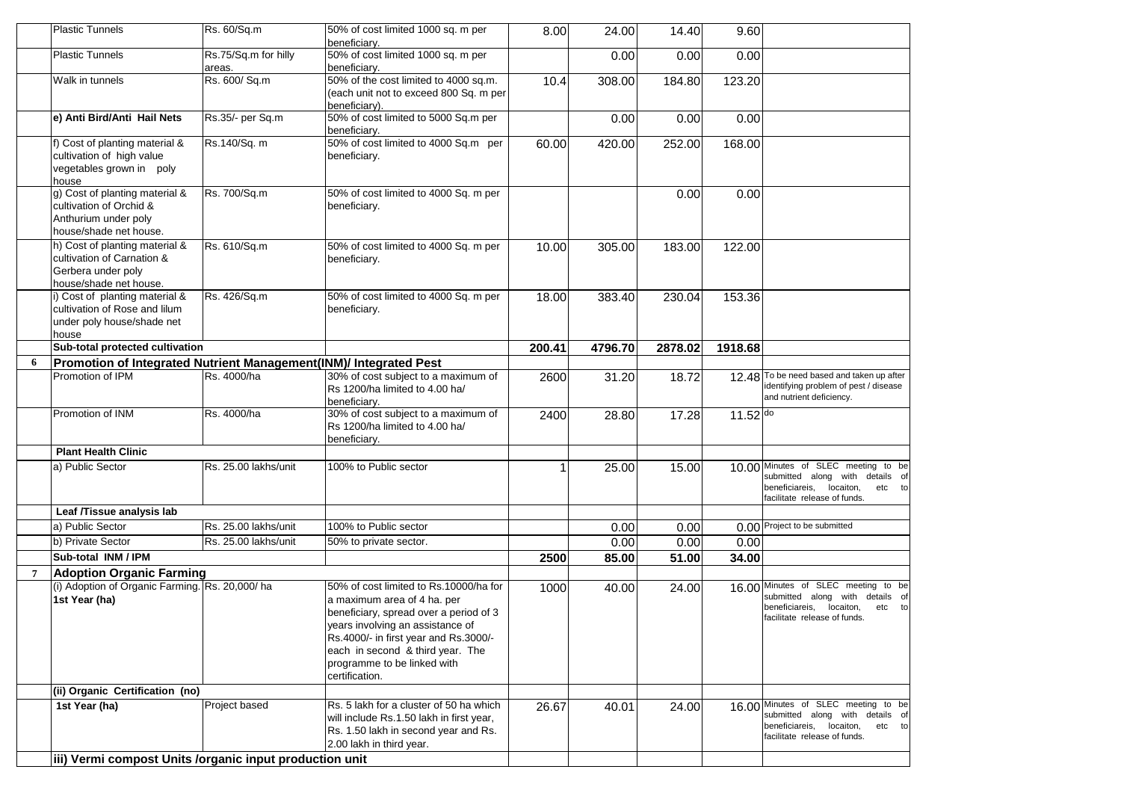|   | Plastic Tunnels                                                                                              | Rs. 60/Sq.m                    | 50% of cost limited 1000 sq. m per<br>beneficiary.                                                                                                                                                                                                                                | 8.00   | 24.00   | 14.40   | 9.60     |                                                                                                                                              |
|---|--------------------------------------------------------------------------------------------------------------|--------------------------------|-----------------------------------------------------------------------------------------------------------------------------------------------------------------------------------------------------------------------------------------------------------------------------------|--------|---------|---------|----------|----------------------------------------------------------------------------------------------------------------------------------------------|
|   | <b>Plastic Tunnels</b>                                                                                       | Rs.75/Sq.m for hilly<br>areas. | 50% of cost limited 1000 sq. m per<br>beneficiary.                                                                                                                                                                                                                                |        | 0.00    | 0.00    | 0.00     |                                                                                                                                              |
|   | Walk in tunnels                                                                                              | Rs. 600/ Sq.m                  | 50% of the cost limited to 4000 sq.m.<br>(each unit not to exceed 800 Sq. m per<br>beneficiary).                                                                                                                                                                                  | 10.4   | 308.00  | 184.80  | 123.20   |                                                                                                                                              |
|   | e) Anti Bird/Anti Hail Nets                                                                                  | Rs.35/- per Sq.m               | 50% of cost limited to 5000 Sq.m per<br>beneficiary.                                                                                                                                                                                                                              |        | 0.00    | 0.00    | 0.00     |                                                                                                                                              |
|   | f) Cost of planting material &<br>cultivation of high value<br>vegetables grown in poly<br>house             | Rs.140/Sq. m                   | 50% of cost limited to 4000 Sq.m per<br>beneficiary.                                                                                                                                                                                                                              | 60.00  | 420.00  | 252.00  | 168.00   |                                                                                                                                              |
|   | g) Cost of planting material &<br>cultivation of Orchid &<br>Anthurium under poly<br>house/shade net house.  | Rs. 700/Sq.m                   | 50% of cost limited to 4000 Sq. m per<br>beneficiary.                                                                                                                                                                                                                             |        |         | 0.00    | 0.00     |                                                                                                                                              |
|   | h) Cost of planting material &<br>cultivation of Carnation &<br>Gerbera under poly<br>house/shade net house. | Rs. 610/Sq.m                   | 50% of cost limited to 4000 Sq. m per<br>beneficiary.                                                                                                                                                                                                                             | 10.00  | 305.00  | 183.00  | 122.00   |                                                                                                                                              |
|   | i) Cost of planting material &<br>cultivation of Rose and lilum<br>under poly house/shade net<br>house       | Rs. 426/Sq.m                   | 50% of cost limited to 4000 Sq. m per<br>beneficiary.                                                                                                                                                                                                                             | 18.00  | 383.40  | 230.04  | 153.36   |                                                                                                                                              |
|   | Sub-total protected cultivation                                                                              |                                |                                                                                                                                                                                                                                                                                   | 200.41 | 4796.70 | 2878.02 | 1918.68  |                                                                                                                                              |
| 6 | Promotion of Integrated Nutrient Management(INM)/ Integrated Pest                                            |                                |                                                                                                                                                                                                                                                                                   |        |         |         |          |                                                                                                                                              |
|   | Promotion of IPM                                                                                             | Rs. 4000/ha                    | 30% of cost subject to a maximum of<br>Rs 1200/ha limited to 4.00 ha/<br>beneficiary.                                                                                                                                                                                             | 2600   | 31.20   | 18.72   | 12.48    | To be need based and taken up after<br>identifying problem of pest / disease<br>and nutrient deficiency.                                     |
|   | Promotion of INM                                                                                             | Rs. 4000/ha                    | 30% of cost subject to a maximum of<br>Rs 1200/ha limited to 4.00 ha/<br>beneficiary.                                                                                                                                                                                             | 2400   | 28.80   | 17.28   | 11.52 do |                                                                                                                                              |
|   | <b>Plant Health Clinic</b>                                                                                   |                                |                                                                                                                                                                                                                                                                                   |        |         |         |          |                                                                                                                                              |
|   | a) Public Sector                                                                                             | Rs. 25.00 lakhs/unit           | 100% to Public sector                                                                                                                                                                                                                                                             |        | 25.00   | 15.00   |          | 10.00 Minutes of SLEC meeting to be<br>submitted along with details of<br>beneficiareis, locaiton,<br>etc to<br>facilitate release of funds. |
|   | Leaf /Tissue analysis lab                                                                                    |                                |                                                                                                                                                                                                                                                                                   |        |         |         |          |                                                                                                                                              |
|   | a) Public Sector                                                                                             | Rs. 25.00 lakhs/unit           | 100% to Public sector                                                                                                                                                                                                                                                             |        | 0.00    | 0.00    |          | 0.00 Project to be submitted                                                                                                                 |
|   | b) Private Sector                                                                                            | Rs. 25.00 lakhs/unit           | 50% to private sector.                                                                                                                                                                                                                                                            |        | 0.00    | 0.00    | 0.00     |                                                                                                                                              |
|   | Sub-total INM / IPM                                                                                          |                                |                                                                                                                                                                                                                                                                                   | 2500   | 85.00   | 51.00   | 34.00    |                                                                                                                                              |
| 7 | <b>Adoption Organic Farming</b>                                                                              |                                |                                                                                                                                                                                                                                                                                   |        |         |         |          |                                                                                                                                              |
|   | (i) Adoption of Organic Farming. Rs. 20,000/ha<br>1st Year (ha)                                              |                                | 50% of cost limited to Rs.10000/ha for<br>a maximum area of 4 ha. per<br>beneficiary, spread over a period of 3<br>years involving an assistance of<br>Rs.4000/- in first year and Rs.3000/-<br>each in second & third year. The<br>programme to be linked with<br>certification. | 1000   | 40.00   | 24.00   |          | 16.00 Minutes of SLEC meeting to be<br>submitted along with details of<br>beneficiareis, locaiton,<br>etc to<br>facilitate release of funds. |
|   | (ii) Organic Certification (no)                                                                              |                                |                                                                                                                                                                                                                                                                                   |        |         |         |          |                                                                                                                                              |
|   | 1st Year (ha)                                                                                                | Project based                  | Rs. 5 lakh for a cluster of 50 ha which<br>will include Rs.1.50 lakh in first year,<br>Rs. 1.50 lakh in second year and Rs.<br>2.00 lakh in third year.                                                                                                                           | 26.67  | 40.01   | 24.00   |          | 16.00 Minutes of SLEC meeting to be<br>submitted along with details of<br>beneficiareis, locaiton,<br>etc to<br>facilitate release of funds. |
|   | iii) Vermi compost Units /organic input production unit                                                      |                                |                                                                                                                                                                                                                                                                                   |        |         |         |          |                                                                                                                                              |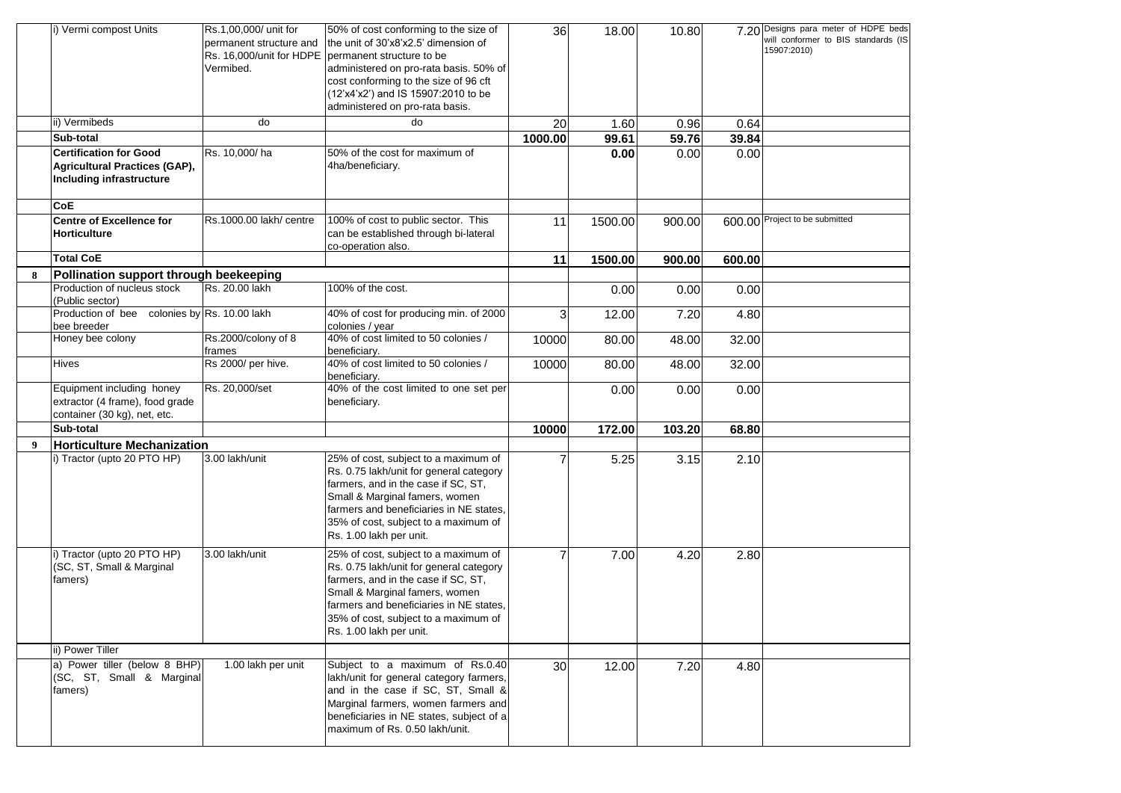|   | i) Vermi compost Units                                                                                   | Rs.1,00,000/ unit for<br>permanent structure and<br>Vermibed. | 50% of cost conforming to the size of<br>the unit of 30'x8'x2.5' dimension of<br>Rs. 16,000/unit for HDPE permanent structure to be<br>administered on pro-rata basis. 50% of<br>cost conforming to the size of 96 cft<br>(12'x4'x2') and IS 15907:2010 to be<br>administered on pro-rata basis. | 36      | 18.00   | 10.80  |        | 7.20 Designs para meter of HDPE beds<br>will conformer to BIS standards (IS<br>15907:2010) |
|---|----------------------------------------------------------------------------------------------------------|---------------------------------------------------------------|--------------------------------------------------------------------------------------------------------------------------------------------------------------------------------------------------------------------------------------------------------------------------------------------------|---------|---------|--------|--------|--------------------------------------------------------------------------------------------|
|   | ii) Vermibeds                                                                                            | do                                                            | do                                                                                                                                                                                                                                                                                               | 20      | 1.60    | 0.96   | 0.64   |                                                                                            |
|   | Sub-total                                                                                                |                                                               |                                                                                                                                                                                                                                                                                                  | 1000.00 | 99.61   | 59.76  | 39.84  |                                                                                            |
|   | <b>Certification for Good</b><br><b>Agricultural Practices (GAP),</b><br><b>Including infrastructure</b> | Rs. 10,000/ha                                                 | 50% of the cost for maximum of<br>4ha/beneficiary.                                                                                                                                                                                                                                               |         | 0.00    | 0.00   | 0.00   |                                                                                            |
|   | <b>CoE</b>                                                                                               |                                                               |                                                                                                                                                                                                                                                                                                  |         |         |        |        |                                                                                            |
|   | <b>Centre of Excellence for</b><br><b>Horticulture</b>                                                   | Rs.1000.00 lakh/ centre                                       | 100% of cost to public sector. This<br>can be established through bi-lateral<br>co-operation also.                                                                                                                                                                                               | 11      | 1500.00 | 900.00 |        | 600.00 Project to be submitted                                                             |
|   | <b>Total CoE</b>                                                                                         |                                                               |                                                                                                                                                                                                                                                                                                  | 11      | 1500.00 | 900.00 | 600.00 |                                                                                            |
| 8 | Pollination support through beekeeping                                                                   |                                                               |                                                                                                                                                                                                                                                                                                  |         |         |        |        |                                                                                            |
|   | Production of nucleus stock<br>(Public sector)                                                           | Rs. 20.00 lakh                                                | 100% of the cost.                                                                                                                                                                                                                                                                                |         | 0.00    | 0.00   | 0.00   |                                                                                            |
|   | Production of bee colonies by Rs. 10.00 lakh<br>bee breeder                                              |                                                               | 40% of cost for producing min. of 2000<br>colonies / year                                                                                                                                                                                                                                        |         | 12.00   | 7.20   | 4.80   |                                                                                            |
|   | Honey bee colony                                                                                         | Rs.2000/colony of 8<br>frames                                 | 40% of cost limited to 50 colonies /<br>beneficiary.                                                                                                                                                                                                                                             | 10000   | 80.00   | 48.00  | 32.00  |                                                                                            |
|   | <b>Hives</b>                                                                                             | Rs 2000/ per hive.                                            | 40% of cost limited to 50 colonies /<br>beneficiary.                                                                                                                                                                                                                                             | 10000   | 80.00   | 48.00  | 32.00  |                                                                                            |
|   | Equipment including honey<br>extractor (4 frame), food grade<br>container (30 kg), net, etc.             | Rs. 20,000/set                                                | 40% of the cost limited to one set per<br>beneficiary.                                                                                                                                                                                                                                           |         | 0.00    | 0.00   | 0.00   |                                                                                            |
|   | Sub-total                                                                                                |                                                               |                                                                                                                                                                                                                                                                                                  | 10000   | 172.00  | 103.20 | 68.80  |                                                                                            |
| 9 | <b>Horticulture Mechanization</b>                                                                        |                                                               |                                                                                                                                                                                                                                                                                                  |         |         |        |        |                                                                                            |
|   | i) Tractor (upto 20 PTO HP)                                                                              | 3.00 lakh/unit                                                | 25% of cost, subject to a maximum of<br>Rs. 0.75 lakh/unit for general category<br>farmers, and in the case if SC, ST,<br>Small & Marginal famers, women<br>farmers and beneficiaries in NE states,<br>35% of cost, subject to a maximum of<br>Rs. 1.00 lakh per unit.                           |         | 5.25    | 3.15   | 2.10   |                                                                                            |
|   | i) Tractor (upto 20 PTO HP)<br>(SC, ST, Small & Marginal<br>famers)                                      | 3.00 lakh/unit                                                | 25% of cost, subject to a maximum of<br>Rs. 0.75 lakh/unit for general category<br>farmers, and in the case if SC, ST,<br>Small & Marginal famers, women<br>farmers and beneficiaries in NE states,<br>35% of cost, subject to a maximum of<br>Rs. 1.00 lakh per unit.                           |         | 7.00    | 4.20   | 2.80   |                                                                                            |
|   | ii) Power Tiller                                                                                         |                                                               |                                                                                                                                                                                                                                                                                                  |         |         |        |        |                                                                                            |
|   | a) Power tiller (below 8 BHP)<br>(SC, ST, Small & Marginal<br>famers)                                    | 1.00 lakh per unit                                            | Subject to a maximum of Rs.0.40<br>lakh/unit for general category farmers,<br>and in the case if SC, ST, Small &<br>Marginal farmers, women farmers and<br>beneficiaries in NE states, subject of a<br>maximum of Rs. 0.50 lakh/unit.                                                            | 30      | 12.00   | 7.20   | 4.80   |                                                                                            |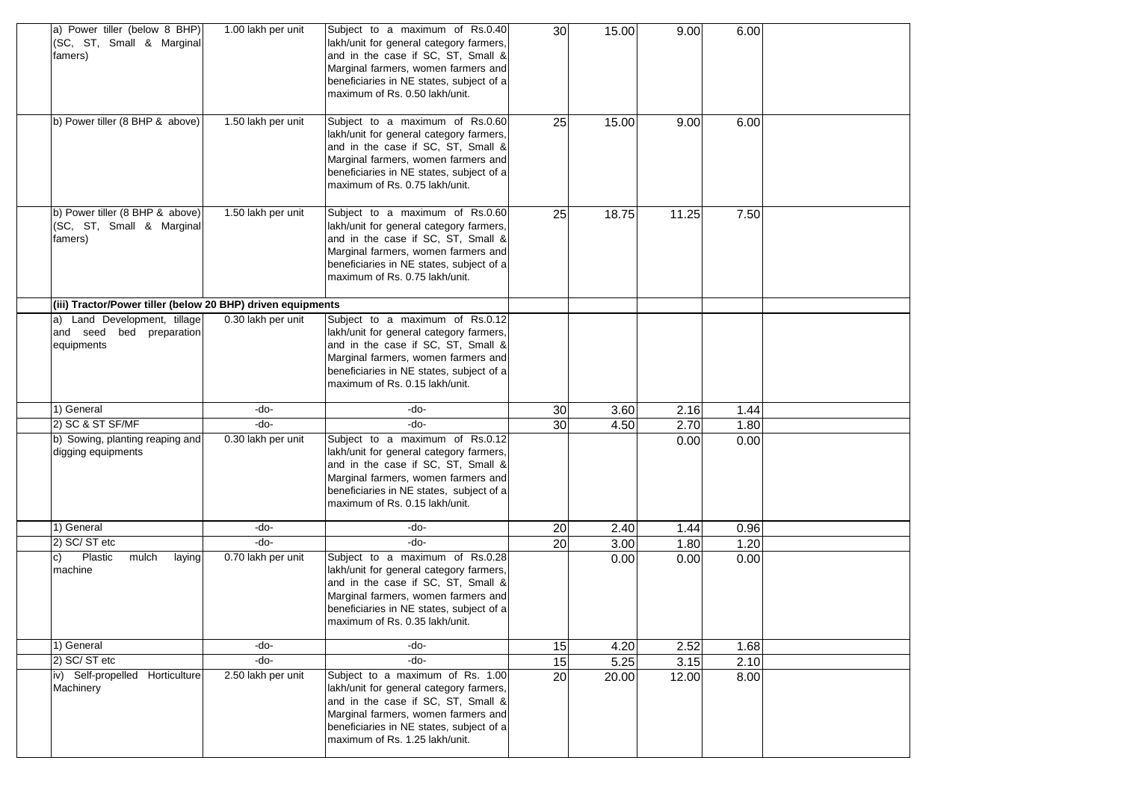| a) Power tiller (below 8 BHP)<br>(SC, ST, Small & Marginal<br>famers)   | 1.00 lakh per unit | Subject to a maximum of Rs.0.40<br>lakh/unit for general category farmers,<br>and in the case if SC, ST, Small &<br>Marginal farmers, women farmers and<br>beneficiaries in NE states, subject of a<br>maximum of Rs. 0.50 lakh/unit.  | 30              | 15.00 | 9.00  | 6.00 |  |
|-------------------------------------------------------------------------|--------------------|----------------------------------------------------------------------------------------------------------------------------------------------------------------------------------------------------------------------------------------|-----------------|-------|-------|------|--|
| b) Power tiller (8 BHP & above)                                         | 1.50 lakh per unit | Subject to a maximum of Rs.0.60<br>lakh/unit for general category farmers,<br>and in the case if SC, ST, Small &<br>Marginal farmers, women farmers and<br>beneficiaries in NE states, subject of a<br>maximum of Rs. 0.75 lakh/unit.  | 25              | 15.00 | 9.00  | 6.00 |  |
| b) Power tiller (8 BHP & above)<br>(SC, ST, Small & Marginal<br>famers) | 1.50 lakh per unit | Subject to a maximum of Rs.0.60<br>lakh/unit for general category farmers,<br>and in the case if SC, ST, Small &<br>Marginal farmers, women farmers and<br>beneficiaries in NE states, subject of a<br>maximum of Rs. 0.75 lakh/unit.  | 25              | 18.75 | 11.25 | 7.50 |  |
| (iii) Tractor/Power tiller (below 20 BHP) driven equipments             |                    |                                                                                                                                                                                                                                        |                 |       |       |      |  |
| Land Development, tillage<br>and seed bed preparation<br>equipments     | 0.30 lakh per unit | Subject to a maximum of Rs.0.12<br>lakh/unit for general category farmers,<br>and in the case if SC, ST, Small &<br>Marginal farmers, women farmers and<br>beneficiaries in NE states, subject of a<br>maximum of Rs. 0.15 lakh/unit.  |                 |       |       |      |  |
| 1) General                                                              | -do-               | -do-                                                                                                                                                                                                                                   | 30              | 3.60  | 2.16  | 1.44 |  |
| 2) SC & ST SF/MF                                                        | -do-               | -do-                                                                                                                                                                                                                                   | 30              | 4.50  | 2.70  | 1.80 |  |
| b) Sowing, planting reaping and<br>digging equipments                   | 0.30 lakh per unit | Subject to a maximum of Rs.0.12<br>lakh/unit for general category farmers,<br>and in the case if SC, ST, Small &<br>Marginal farmers, women farmers and<br>beneficiaries in NE states, subject of a<br>maximum of Rs. 0.15 lakh/unit.  |                 |       | 0.00  | 0.00 |  |
| 1) General                                                              | -do-               | -do-                                                                                                                                                                                                                                   | 20              | 2.40  | 1.44  | 0.96 |  |
| 2) SC/ST etc                                                            | -do-               | -do-                                                                                                                                                                                                                                   | $\overline{20}$ | 3.00  | 1.80  | 1.20 |  |
| Plastic<br>mulch<br>laying<br>C)<br>machine                             | 0.70 lakh per unit | Subject to a maximum of Rs.0.28<br>lakh/unit for general category farmers,<br>and in the case if SC, ST, Small &<br>Marginal farmers, women farmers and<br>beneficiaries in NE states, subject of a<br>maximum of Rs. 0.35 lakh/unit.  |                 | 0.00  | 0.00  | 0.00 |  |
| 1) General                                                              | -do-               | -do-                                                                                                                                                                                                                                   | 15              | 4.20  | 2.52  | 1.68 |  |
| 2) SC/ST etc                                                            | -do-               | -do-                                                                                                                                                                                                                                   | 15              | 5.25  | 3.15  | 2.10 |  |
| iv) Self-propelled Horticulture<br>Machinery                            | 2.50 lakh per unit | Subject to a maximum of Rs. 1.00<br>lakh/unit for general category farmers,<br>and in the case if SC, ST, Small &<br>Marginal farmers, women farmers and<br>beneficiaries in NE states, subject of a<br>maximum of Rs. 1.25 lakh/unit. | 20              | 20.00 | 12.00 | 8.00 |  |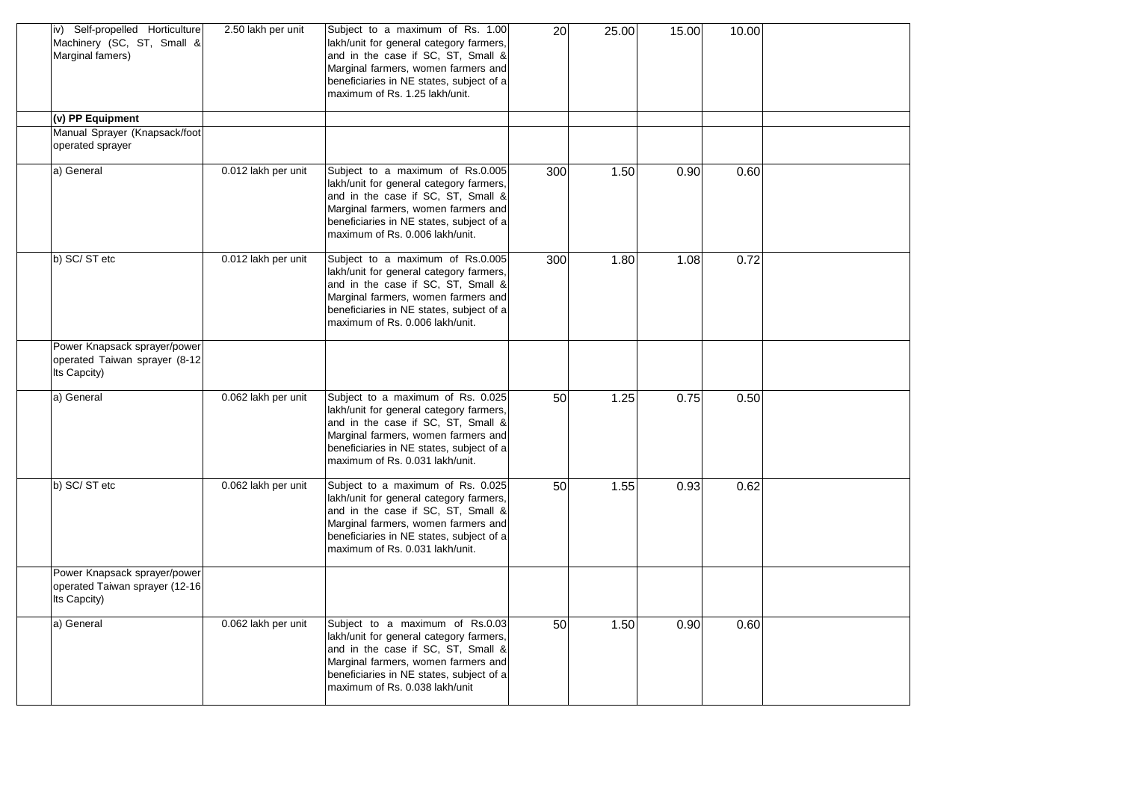| iv) Self-propelled Horticulture<br>Machinery (SC, ST, Small &<br>Marginal famers) | 2.50 lakh per unit  | Subject to a maximum of Rs. 1.00<br>lakh/unit for general category farmers,<br>and in the case if SC, ST, Small &<br>Marginal farmers, women farmers and<br>beneficiaries in NE states, subject of a<br>maximum of Rs. 1.25 lakh/unit.   | 20  | 25.00 | 15.00 | 10.00 |  |
|-----------------------------------------------------------------------------------|---------------------|------------------------------------------------------------------------------------------------------------------------------------------------------------------------------------------------------------------------------------------|-----|-------|-------|-------|--|
| (v) PP Equipment                                                                  |                     |                                                                                                                                                                                                                                          |     |       |       |       |  |
| Manual Sprayer (Knapsack/foot<br>operated sprayer                                 |                     |                                                                                                                                                                                                                                          |     |       |       |       |  |
| a) General                                                                        | 0.012 lakh per unit | Subject to a maximum of Rs.0.005<br>lakh/unit for general category farmers,<br>and in the case if SC, ST, Small &<br>Marginal farmers, women farmers and<br>beneficiaries in NE states, subject of a<br>maximum of Rs. 0.006 lakh/unit.  | 300 | 1.50  | 0.90  | 0.60  |  |
| b) SC/ST etc                                                                      | 0.012 lakh per unit | Subject to a maximum of Rs.0.005<br>lakh/unit for general category farmers,<br>and in the case if SC, ST, Small &<br>Marginal farmers, women farmers and<br>beneficiaries in NE states, subject of a<br>maximum of Rs. 0.006 lakh/unit.  | 300 | 1.80  | 1.08  | 0.72  |  |
| Power Knapsack sprayer/power<br>operated Taiwan sprayer (8-12<br>Its Capcity)     |                     |                                                                                                                                                                                                                                          |     |       |       |       |  |
| a) General                                                                        | 0.062 lakh per unit | Subject to a maximum of Rs. 0.025<br>lakh/unit for general category farmers,<br>and in the case if SC, ST, Small &<br>Marginal farmers, women farmers and<br>beneficiaries in NE states, subject of a<br>maximum of Rs. 0.031 lakh/unit. | 50  | 1.25  | 0.75  | 0.50  |  |
| b) SC/ST etc                                                                      | 0.062 lakh per unit | Subject to a maximum of Rs. 0.025<br>lakh/unit for general category farmers,<br>and in the case if SC, ST, Small &<br>Marginal farmers, women farmers and<br>beneficiaries in NE states, subject of a<br>maximum of Rs. 0.031 lakh/unit. | 50  | 1.55  | 0.93  | 0.62  |  |
| Power Knapsack sprayer/power<br>operated Taiwan sprayer (12-16<br>Its Capcity)    |                     |                                                                                                                                                                                                                                          |     |       |       |       |  |
| a) General                                                                        | 0.062 lakh per unit | Subject to a maximum of Rs.0.03<br>lakh/unit for general category farmers,<br>and in the case if SC, ST, Small &<br>Marginal farmers, women farmers and<br>beneficiaries in NE states, subject of a<br>maximum of Rs. 0.038 lakh/unit    | 50  | 1.50  | 0.90  | 0.60  |  |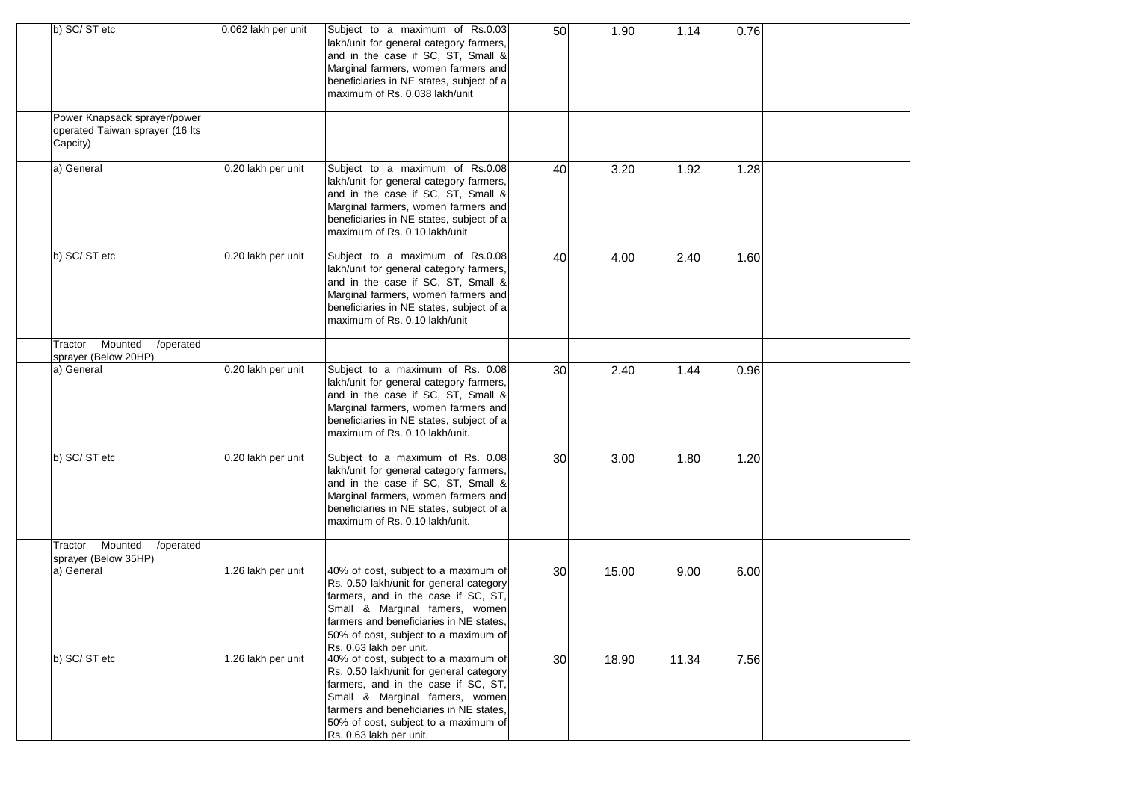| b) SC/ST etc                                                                | 0.062 lakh per unit | Subject to a maximum of Rs.0.03<br>lakh/unit for general category farmers,<br>and in the case if SC, ST, Small &<br>Marginal farmers, women farmers and<br>beneficiaries in NE states, subject of a<br>maximum of Rs. 0.038 lakh/unit                                  | 50 | 1.90  | 1.14  | 0.76 |  |
|-----------------------------------------------------------------------------|---------------------|------------------------------------------------------------------------------------------------------------------------------------------------------------------------------------------------------------------------------------------------------------------------|----|-------|-------|------|--|
| Power Knapsack sprayer/power<br>operated Taiwan sprayer (16 lts<br>Capcity) |                     |                                                                                                                                                                                                                                                                        |    |       |       |      |  |
| a) General                                                                  | 0.20 lakh per unit  | Subject to a maximum of Rs.0.08<br>lakh/unit for general category farmers,<br>and in the case if SC, ST, Small &<br>Marginal farmers, women farmers and<br>beneficiaries in NE states, subject of a<br>maximum of Rs. 0.10 lakh/unit                                   | 40 | 3.20  | 1.92  | 1.28 |  |
| b) SC/ST etc                                                                | 0.20 lakh per unit  | Subject to a maximum of Rs.0.08<br>lakh/unit for general category farmers,<br>and in the case if SC, ST, Small &<br>Marginal farmers, women farmers and<br>beneficiaries in NE states, subject of a<br>maximum of Rs. 0.10 lakh/unit                                   | 40 | 4.00  | 2.40  | 1.60 |  |
| Mounted<br>/operated<br>Tractor                                             |                     |                                                                                                                                                                                                                                                                        |    |       |       |      |  |
| sprayer (Below 20HP)<br>a) General                                          | 0.20 lakh per unit  | Subject to a maximum of Rs. 0.08<br>lakh/unit for general category farmers,<br>and in the case if SC, ST, Small &<br>Marginal farmers, women farmers and<br>beneficiaries in NE states, subject of a<br>maximum of Rs. 0.10 lakh/unit.                                 | 30 | 2.40  | 1.44  | 0.96 |  |
| b) SC/ST etc                                                                | 0.20 lakh per unit  | Subject to a maximum of Rs. 0.08<br>lakh/unit for general category farmers,<br>and in the case if SC, ST, Small &<br>Marginal farmers, women farmers and<br>beneficiaries in NE states, subject of a<br>maximum of Rs. 0.10 lakh/unit.                                 | 30 | 3.00  | 1.80  | 1.20 |  |
| Mounted<br>/operated<br>Tractor<br>sprayer (Below 35HP)                     |                     |                                                                                                                                                                                                                                                                        |    |       |       |      |  |
| a) General                                                                  | 1.26 lakh per unit  | 40% of cost, subject to a maximum of<br>Rs. 0.50 lakh/unit for general category<br>farmers, and in the case if SC, ST,<br>Small & Marginal famers, women<br>farmers and beneficiaries in NE states,<br>50% of cost, subject to a maximum of<br>Rs. 0.63 lakh per unit. | 30 | 15.00 | 9.00  | 6.00 |  |
| b) SC/ST etc                                                                | 1.26 lakh per unit  | 40% of cost, subject to a maximum of<br>Rs. 0.50 lakh/unit for general category<br>farmers, and in the case if SC, ST,<br>Small & Marginal famers, women<br>farmers and beneficiaries in NE states,<br>50% of cost, subject to a maximum of<br>Rs. 0.63 lakh per unit. | 30 | 18.90 | 11.34 | 7.56 |  |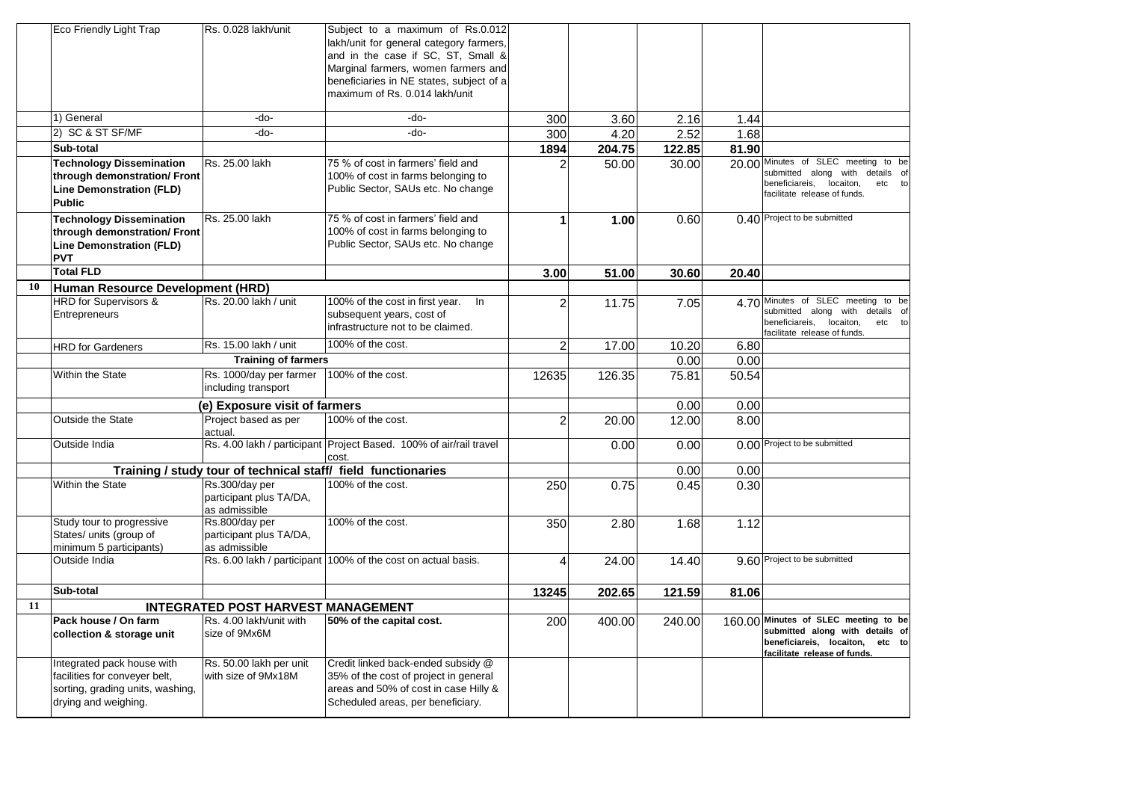|    | Eco Friendly Light Trap          | Rs. 0.028 lakh/unit                                           | Subject to a maximum of Rs.0.012                                   |                      |        |        |       |                                                                          |
|----|----------------------------------|---------------------------------------------------------------|--------------------------------------------------------------------|----------------------|--------|--------|-------|--------------------------------------------------------------------------|
|    |                                  |                                                               | lakh/unit for general category farmers,                            |                      |        |        |       |                                                                          |
|    |                                  |                                                               | and in the case if SC, ST, Small &                                 |                      |        |        |       |                                                                          |
|    |                                  |                                                               | Marginal farmers, women farmers and                                |                      |        |        |       |                                                                          |
|    |                                  |                                                               | beneficiaries in NE states, subject of a                           |                      |        |        |       |                                                                          |
|    |                                  |                                                               | maximum of Rs. 0.014 lakh/unit                                     |                      |        |        |       |                                                                          |
|    | 1) General                       | -do-                                                          | -do-                                                               | 300                  | 3.60   | 2.16   | 1.44  |                                                                          |
|    | 2) SC & ST SF/MF                 | -do-                                                          | -do-                                                               | 300                  | 4.20   | 2.52   | 1.68  |                                                                          |
|    | Sub-total                        |                                                               |                                                                    | 1894                 | 204.75 | 122.85 | 81.90 |                                                                          |
|    | <b>Technology Dissemination</b>  | Rs. 25.00 lakh                                                | 75 % of cost in farmers' field and                                 |                      | 50.00  | 30.00  |       | 20.00 Minutes of SLEC meeting to be                                      |
|    | through demonstration/ Front     |                                                               | 100% of cost in farms belonging to                                 |                      |        |        |       | submitted along with details of                                          |
|    | <b>Line Demonstration (FLD)</b>  |                                                               | Public Sector, SAUs etc. No change                                 |                      |        |        |       | beneficiareis,<br>locaiton,<br>etc to                                    |
|    | <b>Public</b>                    |                                                               |                                                                    |                      |        |        |       | facilitate release of funds.                                             |
|    | <b>Technology Dissemination</b>  | Rs. 25.00 lakh                                                | 75 % of cost in farmers' field and                                 | $\blacktriangleleft$ | 1.00   | 0.60   |       | 0.40 Project to be submitted                                             |
|    | through demonstration/ Front     |                                                               | 100% of cost in farms belonging to                                 |                      |        |        |       |                                                                          |
|    | <b>Line Demonstration (FLD)</b>  |                                                               | Public Sector, SAUs etc. No change                                 |                      |        |        |       |                                                                          |
|    | <b>PVT</b>                       |                                                               |                                                                    |                      |        |        |       |                                                                          |
|    | <b>Total FLD</b>                 |                                                               |                                                                    | 3.00                 | 51.00  | 30.60  | 20.40 |                                                                          |
| 10 | Human Resource Development (HRD) |                                                               |                                                                    |                      |        |        |       |                                                                          |
|    | <b>HRD</b> for Supervisors &     | Rs. 20.00 lakh / unit                                         | 100% of the cost in first year. In                                 | 2                    | 11.75  | 7.05   |       | 4.70 Minutes of SLEC meeting to be                                       |
|    | Entrepreneurs                    |                                                               | subsequent years, cost of                                          |                      |        |        |       | submitted along with details of<br>beneficiareis,<br>locaiton,<br>etc to |
|    |                                  |                                                               | infrastructure not to be claimed.                                  |                      |        |        |       | facilitate release of funds.                                             |
|    | <b>HRD</b> for Gardeners         | Rs. 15.00 lakh / unit                                         | 100% of the cost.                                                  | $\overline{2}$       | 17.00  | 10.20  | 6.80  |                                                                          |
|    |                                  | <b>Training of farmers</b>                                    |                                                                    |                      |        | 0.00   | 0.00  |                                                                          |
|    | Within the State                 | Rs. 1000/day per farmer                                       | 100% of the cost.                                                  | 12635                | 126.35 | 75.81  | 50.54 |                                                                          |
|    |                                  | including transport                                           |                                                                    |                      |        |        |       |                                                                          |
|    |                                  | (e) Exposure visit of farmers                                 |                                                                    |                      |        | 0.00   | 0.00  |                                                                          |
|    | <b>Outside the State</b>         | Project based as per                                          | 100% of the cost.                                                  | $\overline{2}$       | 20.00  | 12.00  | 8.00  |                                                                          |
|    |                                  | actual.                                                       |                                                                    |                      |        |        |       |                                                                          |
|    | Outside India                    |                                                               | Rs. 4.00 lakh / participant Project Based. 100% of air/rail travel |                      | 0.00   | 0.00   |       | 0.00 Project to be submitted                                             |
|    |                                  |                                                               | cost.                                                              |                      |        |        |       |                                                                          |
|    |                                  | Training / study tour of technical staff/ field functionaries |                                                                    |                      |        | 0.00   | 0.00  |                                                                          |
|    | Within the State                 | Rs.300/day per                                                | 100% of the cost.                                                  | 250                  | 0.75   | 0.45   | 0.30  |                                                                          |
|    |                                  | participant plus TA/DA,<br>as admissible                      |                                                                    |                      |        |        |       |                                                                          |
|    | Study tour to progressive        | Rs.800/day per                                                | 100% of the cost.                                                  | 350                  | 2.80   | 1.68   | 1.12  |                                                                          |
|    | States/ units (group of          | participant plus TA/DA,                                       |                                                                    |                      |        |        |       |                                                                          |
|    | minimum 5 participants)          | as admissible                                                 |                                                                    |                      |        |        |       |                                                                          |
|    | Outside India                    |                                                               | Rs. 6.00 lakh / participant 100% of the cost on actual basis.      | 4                    | 24.00  | 14.40  |       | 9.60 Project to be submitted                                             |
|    |                                  |                                                               |                                                                    |                      |        |        |       |                                                                          |
|    | Sub-total                        |                                                               |                                                                    | 13245                | 202.65 | 121.59 | 81.06 |                                                                          |
| 11 |                                  | <b>INTEGRATED POST HARVEST MANAGEMENT</b>                     |                                                                    |                      |        |        |       |                                                                          |
|    | Pack house / On farm             | Rs. 4.00 lakh/unit with                                       | 50% of the capital cost.                                           | 200                  | 400.00 | 240.00 |       | 160.00 Minutes of SLEC meeting to be                                     |
|    | collection & storage unit        | size of 9Mx6M                                                 |                                                                    |                      |        |        |       | submitted along with details of                                          |
|    |                                  |                                                               |                                                                    |                      |        |        |       | beneficiareis, locaiton, etc to                                          |
|    | Integrated pack house with       | Rs. 50.00 lakh per unit                                       | Credit linked back-ended subsidy @                                 |                      |        |        |       | facilitate release of funds.                                             |
|    | facilities for conveyer belt,    | with size of 9Mx18M                                           | 35% of the cost of project in general                              |                      |        |        |       |                                                                          |
|    | sorting, grading units, washing, |                                                               | areas and 50% of cost in case Hilly &                              |                      |        |        |       |                                                                          |
|    | drying and weighing.             |                                                               | Scheduled areas, per beneficiary.                                  |                      |        |        |       |                                                                          |
|    |                                  |                                                               |                                                                    |                      |        |        |       |                                                                          |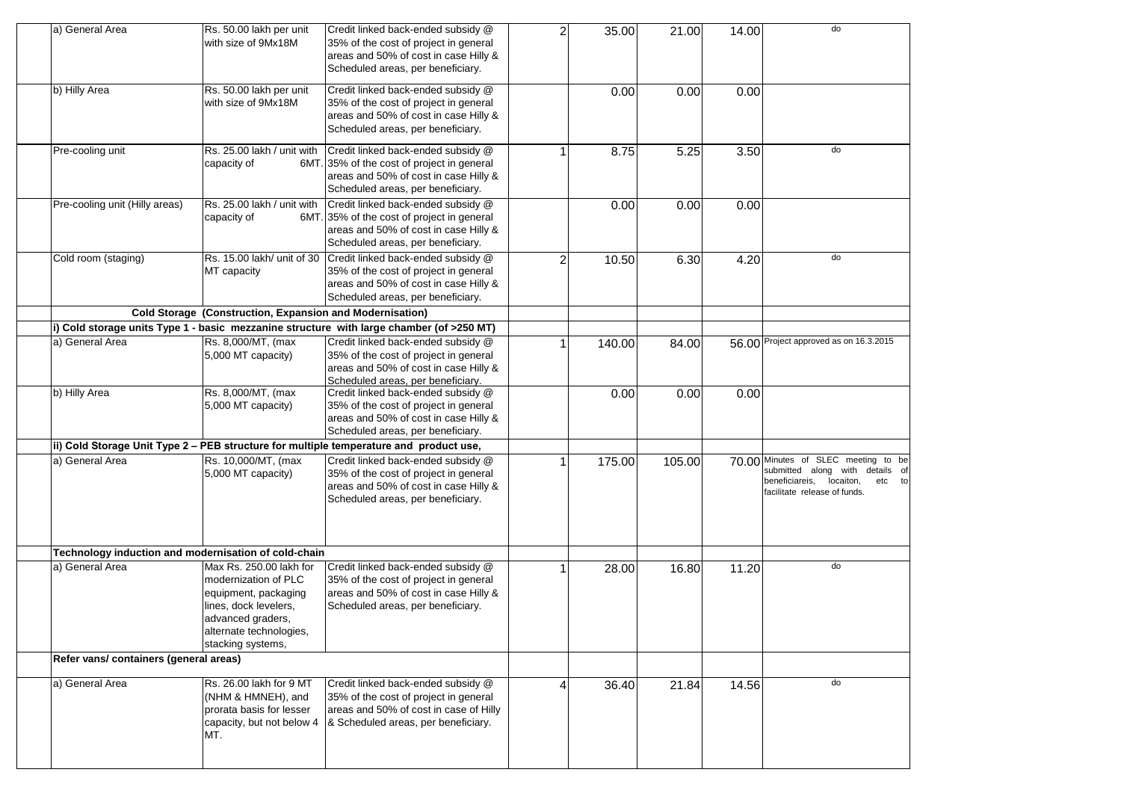| a) General Area                                      | Rs. 50.00 lakh per unit<br>with size of 9Mx18M                                                                                                                        | Credit linked back-ended subsidy @<br>35% of the cost of project in general                                                                                                          | $\overline{2}$ | 35.00  | 21.00  | 14.00 | do                                                                                                                                              |
|------------------------------------------------------|-----------------------------------------------------------------------------------------------------------------------------------------------------------------------|--------------------------------------------------------------------------------------------------------------------------------------------------------------------------------------|----------------|--------|--------|-------|-------------------------------------------------------------------------------------------------------------------------------------------------|
|                                                      |                                                                                                                                                                       | areas and 50% of cost in case Hilly &<br>Scheduled areas, per beneficiary.                                                                                                           |                |        |        |       |                                                                                                                                                 |
| b) Hilly Area                                        | Rs. 50.00 lakh per unit<br>with size of 9Mx18M                                                                                                                        | Credit linked back-ended subsidy @<br>35% of the cost of project in general                                                                                                          |                | 0.00   | 0.00   | 0.00  |                                                                                                                                                 |
|                                                      |                                                                                                                                                                       | areas and 50% of cost in case Hilly &<br>Scheduled areas, per beneficiary.                                                                                                           |                |        |        |       |                                                                                                                                                 |
| Pre-cooling unit                                     | Rs. 25.00 lakh / unit with<br>capacity of                                                                                                                             | Credit linked back-ended subsidy @<br>6MT. 35% of the cost of project in general<br>areas and 50% of cost in case Hilly &<br>Scheduled areas, per beneficiary.                       |                | 8.75   | 5.25   | 3.50  | do                                                                                                                                              |
| Pre-cooling unit (Hilly areas)                       | Rs. 25.00 lakh / unit with<br>capacity of                                                                                                                             | Credit linked back-ended subsidy @<br>6MT. 35% of the cost of project in general<br>areas and 50% of cost in case Hilly &<br>Scheduled areas, per beneficiary.                       |                | 0.00   | 0.00   | 0.00  |                                                                                                                                                 |
| Cold room (staging)                                  | MT capacity                                                                                                                                                           | Rs. 15.00 lakh/ unit of 30 Credit linked back-ended subsidy @<br>35% of the cost of project in general<br>areas and 50% of cost in case Hilly &<br>Scheduled areas, per beneficiary. | $\overline{2}$ | 10.50  | 6.30   | 4.20  | do                                                                                                                                              |
|                                                      | Cold Storage (Construction, Expansion and Modernisation)                                                                                                              |                                                                                                                                                                                      |                |        |        |       |                                                                                                                                                 |
|                                                      |                                                                                                                                                                       | i) Cold storage units Type 1 - basic mezzanine structure with large chamber (of >250 MT)                                                                                             |                |        |        |       |                                                                                                                                                 |
| a) General Area                                      | Rs. 8,000/MT, (max<br>5,000 MT capacity)                                                                                                                              | Credit linked back-ended subsidy @<br>35% of the cost of project in general<br>areas and 50% of cost in case Hilly &<br>Scheduled areas, per beneficiary.                            |                | 140.00 | 84.00  |       | 56.00 Project approved as on 16.3.2015                                                                                                          |
| b) Hilly Area                                        | Rs. 8,000/MT, (max<br>5,000 MT capacity)                                                                                                                              | Credit linked back-ended subsidy @<br>35% of the cost of project in general<br>areas and 50% of cost in case Hilly &<br>Scheduled areas, per beneficiary.                            |                | 0.00   | 0.00   | 0.00  |                                                                                                                                                 |
|                                                      |                                                                                                                                                                       | ii) Cold Storage Unit Type 2 - PEB structure for multiple temperature and product use,                                                                                               |                |        |        |       |                                                                                                                                                 |
| a) General Area                                      | Rs. 10,000/MT, (max<br>5,000 MT capacity)                                                                                                                             | Credit linked back-ended subsidy @<br>35% of the cost of project in general<br>areas and 50% of cost in case Hilly &<br>Scheduled areas, per beneficiary.                            |                | 175.00 | 105.00 |       | 70.00 Minutes of SLEC meeting to be<br>submitted along with details of<br>beneficiareis,<br>locaiton,<br>etc to<br>facilitate release of funds. |
| Technology induction and modernisation of cold-chain |                                                                                                                                                                       |                                                                                                                                                                                      |                |        |        |       |                                                                                                                                                 |
| a) General Area                                      | Max Rs. 250.00 lakh for<br>modernization of PLC<br>equipment, packaging<br>lines, dock levelers,<br>advanced graders,<br>alternate technologies,<br>stacking systems, | Credit linked back-ended subsidy @<br>35% of the cost of project in general<br>areas and 50% of cost in case Hilly &<br>Scheduled areas, per beneficiary.                            |                | 28.00  | 16.80  | 11.20 | do                                                                                                                                              |
| Refer vans/ containers (general areas)               |                                                                                                                                                                       |                                                                                                                                                                                      |                |        |        |       |                                                                                                                                                 |
| a) General Area                                      | Rs. 26.00 lakh for 9 MT<br>(NHM & HMNEH), and<br>prorata basis for lesser<br>capacity, but not below 4<br>MT.                                                         | Credit linked back-ended subsidy @<br>35% of the cost of project in general<br>areas and 50% of cost in case of Hilly<br>& Scheduled areas, per beneficiary.                         |                | 36.40  | 21.84  | 14.56 | do                                                                                                                                              |
|                                                      |                                                                                                                                                                       |                                                                                                                                                                                      |                |        |        |       |                                                                                                                                                 |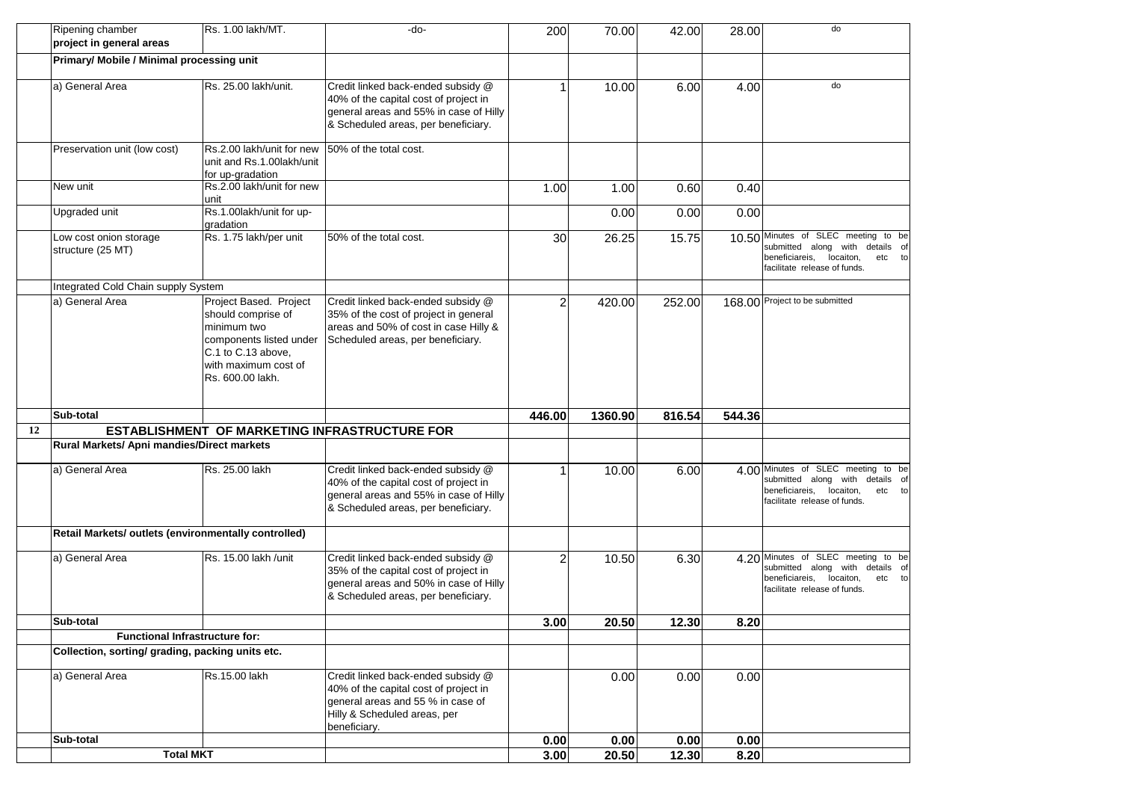|    | Ripening chamber<br>project in general areas         | Rs. 1.00 lakh/MT.                                                                                                                                        | -do-                                                                                                                                                             | 200            | 70.00   | 42.00  | 28.00  | do                                                                                                                                              |
|----|------------------------------------------------------|----------------------------------------------------------------------------------------------------------------------------------------------------------|------------------------------------------------------------------------------------------------------------------------------------------------------------------|----------------|---------|--------|--------|-------------------------------------------------------------------------------------------------------------------------------------------------|
|    | <b>Primary/ Mobile / Minimal processing unit</b>     |                                                                                                                                                          |                                                                                                                                                                  |                |         |        |        |                                                                                                                                                 |
|    | a) General Area                                      | Rs. 25.00 lakh/unit.                                                                                                                                     | Credit linked back-ended subsidy @<br>40% of the capital cost of project in<br>general areas and 55% in case of Hilly<br>& Scheduled areas, per beneficiary.     |                | 10.00   | 6.00   | 4.00   | do                                                                                                                                              |
|    | Preservation unit (low cost)                         | Rs.2.00 lakh/unit for new<br>unit and Rs.1.00lakh/unit<br>for up-gradation                                                                               | 50% of the total cost.                                                                                                                                           |                |         |        |        |                                                                                                                                                 |
|    | New unit                                             | Rs.2.00 lakh/unit for new<br>unit                                                                                                                        |                                                                                                                                                                  | 1.00           | 1.00    | 0.60   | 0.40   |                                                                                                                                                 |
|    | Upgraded unit                                        | Rs.1.00lakh/unit for up-<br>gradation                                                                                                                    |                                                                                                                                                                  |                | 0.00    | 0.00   | 0.00   |                                                                                                                                                 |
|    | Low cost onion storage<br>structure (25 MT)          | Rs. 1.75 lakh/per unit                                                                                                                                   | 50% of the total cost.                                                                                                                                           | 30             | 26.25   | 15.75  |        | 10.50 Minutes of SLEC meeting to be<br>submitted along with details of<br>beneficiareis,<br>locaiton,<br>etc to<br>facilitate release of funds. |
|    | Integrated Cold Chain supply System                  |                                                                                                                                                          |                                                                                                                                                                  |                |         |        |        |                                                                                                                                                 |
|    | a) General Area                                      | Project Based. Project<br>should comprise of<br>minimum two<br>components listed under<br>C.1 to C.13 above,<br>with maximum cost of<br>Rs. 600.00 lakh. | Credit linked back-ended subsidy @<br>35% of the cost of project in general<br>areas and 50% of cost in case Hilly &<br>Scheduled areas, per beneficiary.        | $\overline{2}$ | 420.00  | 252.00 |        | 168.00 Project to be submitted                                                                                                                  |
|    | Sub-total                                            |                                                                                                                                                          |                                                                                                                                                                  | 446.00         | 1360.90 | 816.54 | 544.36 |                                                                                                                                                 |
| 12 | ESTABLISHMENT OF MARKETING INFRASTRUCTURE FOR        |                                                                                                                                                          |                                                                                                                                                                  |                |         |        |        |                                                                                                                                                 |
|    | Rural Markets/ Apni mandies/Direct markets           |                                                                                                                                                          |                                                                                                                                                                  |                |         |        |        |                                                                                                                                                 |
|    | a) General Area                                      | Rs. 25.00 lakh                                                                                                                                           | Credit linked back-ended subsidy @<br>40% of the capital cost of project in<br>general areas and 55% in case of Hilly<br>& Scheduled areas, per beneficiary.     |                | 10.00   | 6.00   |        | 4.00 Minutes of SLEC meeting to be<br>submitted along with details of<br>beneficiareis, locaiton,<br>etc to<br>facilitate release of funds.     |
|    | Retail Markets/ outlets (environmentally controlled) |                                                                                                                                                          |                                                                                                                                                                  |                |         |        |        |                                                                                                                                                 |
|    | a) General Area                                      | Rs. 15.00 lakh /unit                                                                                                                                     | Credit linked back-ended subsidy @<br>35% of the capital cost of project in<br>general areas and 50% in case of Hilly<br>& Scheduled areas, per beneficiary.     | 2              | 10.50   | 6.30   |        | 4.20 Minutes of SLEC meeting to be<br>submitted along with details of<br>beneficiareis,<br>locaiton,<br>etc to<br>facilitate release of funds.  |
|    | Sub-total                                            |                                                                                                                                                          |                                                                                                                                                                  | 3.00           | 20.50   | 12.30  | 8.20   |                                                                                                                                                 |
|    | <b>Functional Infrastructure for:</b>                |                                                                                                                                                          |                                                                                                                                                                  |                |         |        |        |                                                                                                                                                 |
|    | Collection, sorting/ grading, packing units etc.     |                                                                                                                                                          |                                                                                                                                                                  |                |         |        |        |                                                                                                                                                 |
|    | a) General Area                                      | Rs.15.00 lakh                                                                                                                                            | Credit linked back-ended subsidy @<br>40% of the capital cost of project in<br>general areas and 55 % in case of<br>Hilly & Scheduled areas, per<br>beneficiary. |                | 0.00    | 0.00   | 0.00   |                                                                                                                                                 |
|    | Sub-total                                            |                                                                                                                                                          |                                                                                                                                                                  | 0.00           | 0.00    | 0.00   | 0.00   |                                                                                                                                                 |
|    | <b>Total MKT</b>                                     |                                                                                                                                                          |                                                                                                                                                                  | 3.00           | 20.50   | 12.30  | 8.20   |                                                                                                                                                 |